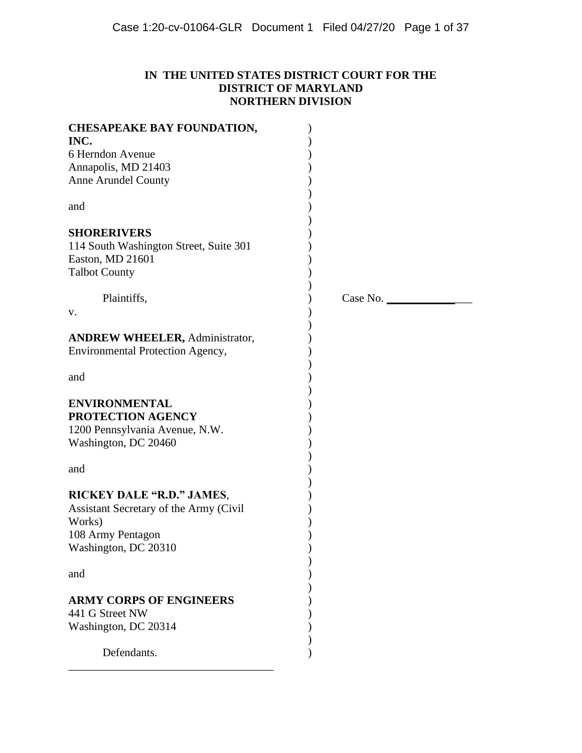# **IN THE UNITED STATES DISTRICT COURT FOR THE DISTRICT OF MARYLAND NORTHERN DIVISION**

| <b>CHESAPEAKE BAY FOUNDATION,</b>      |          |
|----------------------------------------|----------|
| INC.                                   |          |
| 6 Herndon Avenue                       |          |
| Annapolis, MD 21403                    |          |
| <b>Anne Arundel County</b>             |          |
| and                                    |          |
|                                        |          |
| <b>SHORERIVERS</b>                     |          |
| 114 South Washington Street, Suite 301 |          |
| Easton, MD 21601                       |          |
| <b>Talbot County</b>                   |          |
|                                        |          |
| Plaintiffs,                            | Case No. |
| V.                                     |          |
|                                        |          |
| <b>ANDREW WHEELER, Administrator,</b>  |          |
| Environmental Protection Agency,       |          |
|                                        |          |
| and                                    |          |
|                                        |          |
| <b>ENVIRONMENTAL</b>                   |          |
| PROTECTION AGENCY                      |          |
| 1200 Pennsylvania Avenue, N.W.         |          |
| Washington, DC 20460                   |          |
|                                        |          |
| and                                    |          |
| RICKEY DALE "R.D." JAMES,              |          |
| Assistant Secretary of the Army (Civil |          |
| Works)                                 |          |
| 108 Army Pentagon                      |          |
| Washington, DC 20310                   |          |
|                                        |          |
| and                                    |          |
|                                        |          |
| <b>ARMY CORPS OF ENGINEERS</b>         |          |
| 441 G Street NW                        |          |
| Washington, DC 20314                   |          |
|                                        |          |
| Defendants.                            |          |
|                                        |          |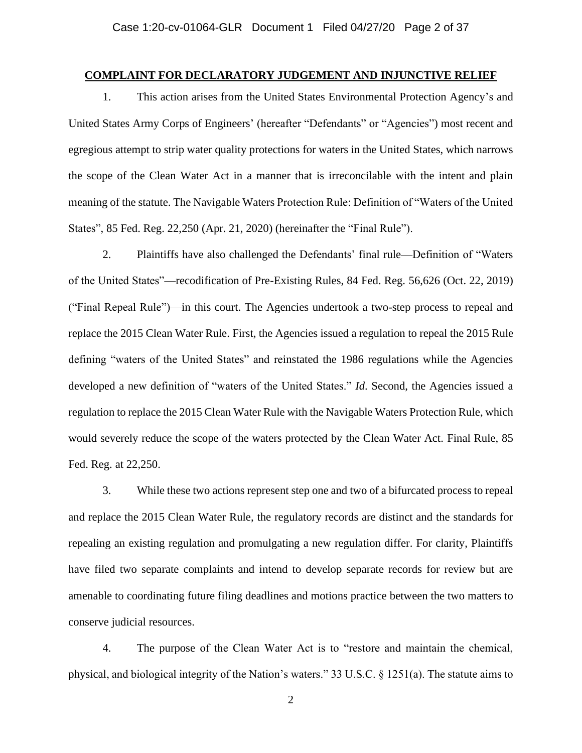#### **COMPLAINT FOR DECLARATORY JUDGEMENT AND INJUNCTIVE RELIEF**

1. This action arises from the United States Environmental Protection Agency's and United States Army Corps of Engineers' (hereafter "Defendants" or "Agencies") most recent and egregious attempt to strip water quality protections for waters in the United States, which narrows the scope of the Clean Water Act in a manner that is irreconcilable with the intent and plain meaning of the statute. The Navigable Waters Protection Rule: Definition of "Waters of the United States", 85 Fed. Reg. 22,250 (Apr. 21, 2020) (hereinafter the "Final Rule").

2. Plaintiffs have also challenged the Defendants' final rule—Definition of "Waters of the United States"—recodification of Pre-Existing Rules, 84 Fed. Reg. 56,626 (Oct. 22, 2019) ("Final Repeal Rule")—in this court. The Agencies undertook a two-step process to repeal and replace the 2015 Clean Water Rule. First, the Agencies issued a regulation to repeal the 2015 Rule defining "waters of the United States" and reinstated the 1986 regulations while the Agencies developed a new definition of "waters of the United States." *Id*. Second, the Agencies issued a regulation to replace the 2015 Clean Water Rule with the Navigable Waters Protection Rule, which would severely reduce the scope of the waters protected by the Clean Water Act. Final Rule, 85 Fed. Reg. at 22,250.

3. While these two actions represent step one and two of a bifurcated process to repeal and replace the 2015 Clean Water Rule, the regulatory records are distinct and the standards for repealing an existing regulation and promulgating a new regulation differ. For clarity, Plaintiffs have filed two separate complaints and intend to develop separate records for review but are amenable to coordinating future filing deadlines and motions practice between the two matters to conserve judicial resources.

4. The purpose of the Clean Water Act is to "restore and maintain the chemical, physical, and biological integrity of the Nation's waters." 33 U.S.C. § 1251(a). The statute aims to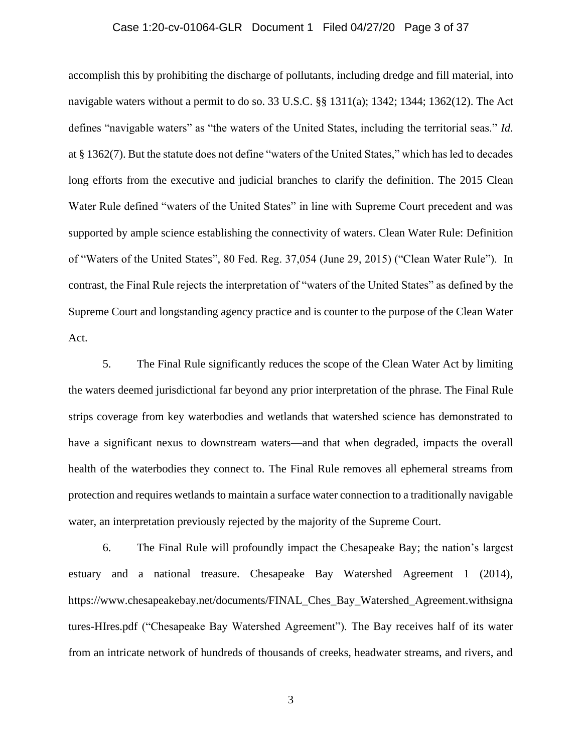## Case 1:20-cv-01064-GLR Document 1 Filed 04/27/20 Page 3 of 37

accomplish this by prohibiting the discharge of pollutants, including dredge and fill material, into navigable waters without a permit to do so. 33 U.S.C. §§ 1311(a); 1342; 1344; 1362(12). The Act defines "navigable waters" as "the waters of the United States, including the territorial seas." *Id.*  at § 1362(7). But the statute does not define "waters of the United States," which has led to decades long efforts from the executive and judicial branches to clarify the definition. The 2015 Clean Water Rule defined "waters of the United States" in line with Supreme Court precedent and was supported by ample science establishing the connectivity of waters. Clean Water Rule: Definition of "Waters of the United States", 80 Fed. Reg. 37,054 (June 29, 2015) ("Clean Water Rule"). In contrast, the Final Rule rejects the interpretation of "waters of the United States" as defined by the Supreme Court and longstanding agency practice and is counter to the purpose of the Clean Water Act.

5. The Final Rule significantly reduces the scope of the Clean Water Act by limiting the waters deemed jurisdictional far beyond any prior interpretation of the phrase. The Final Rule strips coverage from key waterbodies and wetlands that watershed science has demonstrated to have a significant nexus to downstream waters—and that when degraded, impacts the overall health of the waterbodies they connect to. The Final Rule removes all ephemeral streams from protection and requires wetlands to maintain a surface water connection to a traditionally navigable water, an interpretation previously rejected by the majority of the Supreme Court.

6. The Final Rule will profoundly impact the Chesapeake Bay; the nation's largest estuary and a national treasure. Chesapeake Bay Watershed Agreement 1 (2014), [https://www.chesapeakebay.net/documents/FINAL\\_Ches\\_Bay\\_Watershed\\_Agreement.withsigna](https://www.chesapeakebay.net/documents/FINAL_Ches_Bay_Watershed_Agreement.withsignatures-HIres.pdf) [tures-HIres.pdf](https://www.chesapeakebay.net/documents/FINAL_Ches_Bay_Watershed_Agreement.withsignatures-HIres.pdf) ("Chesapeake Bay Watershed Agreement"). The Bay receives half of its water from an intricate network of hundreds of thousands of creeks, headwater streams, and rivers, and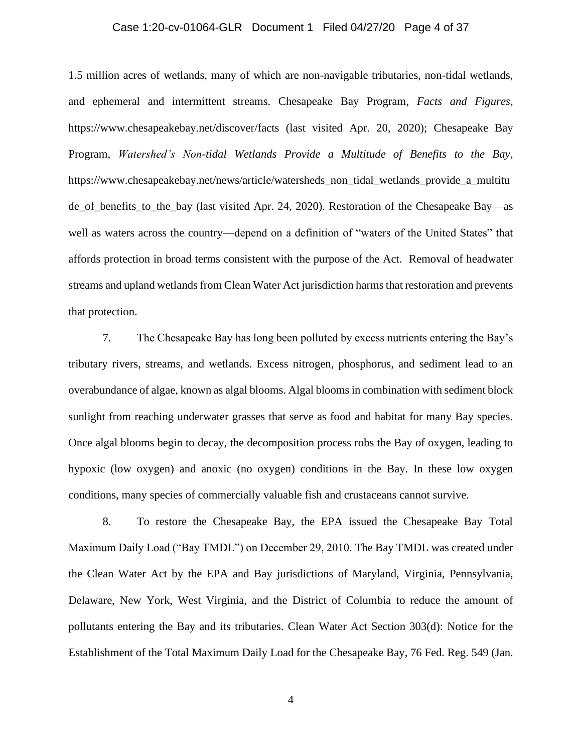#### Case 1:20-cv-01064-GLR Document 1 Filed 04/27/20 Page 4 of 37

1.5 million acres of wetlands, many of which are non-navigable tributaries, non-tidal wetlands, and ephemeral and intermittent streams. Chesapeake Bay Program, *Facts and Figures*, <https://www.chesapeakebay.net/discover/facts> (last visited Apr. 20, 2020); Chesapeake Bay Program, *Watershed's Non-tidal Wetlands Provide a Multitude of Benefits to the Bay*, https://www.chesapeakebay.net/news/article/watersheds\_non\_tidal\_wetlands\_provide\_a\_multitu de\_of\_benefits\_to\_the\_bay (last visited Apr. 24, 2020). Restoration of the Chesapeake Bay—as well as waters across the country—depend on a definition of "waters of the United States" that affords protection in broad terms consistent with the purpose of the Act. Removal of headwater streams and upland wetlands from Clean Water Act jurisdiction harms that restoration and prevents that protection.

7. The Chesapeake Bay has long been polluted by excess nutrients entering the Bay's tributary rivers, streams, and wetlands. Excess nitrogen, phosphorus, and sediment lead to an overabundance of algae, known as algal blooms. Algal blooms in combination with sediment block sunlight from reaching underwater grasses that serve as food and habitat for many Bay species. Once algal blooms begin to decay, the decomposition process robs the Bay of oxygen, leading to hypoxic (low oxygen) and anoxic (no oxygen) conditions in the Bay. In these low oxygen conditions, many species of commercially valuable fish and crustaceans cannot survive.

8. To restore the Chesapeake Bay, the EPA issued the Chesapeake Bay Total Maximum Daily Load ("Bay TMDL") on December 29, 2010. The Bay TMDL was created under the Clean Water Act by the EPA and Bay jurisdictions of Maryland, Virginia, Pennsylvania, Delaware, New York, West Virginia, and the District of Columbia to reduce the amount of pollutants entering the Bay and its tributaries. Clean Water Act Section 303(d): Notice for the Establishment of the Total Maximum Daily Load for the Chesapeake Bay, 76 Fed. Reg. 549 (Jan.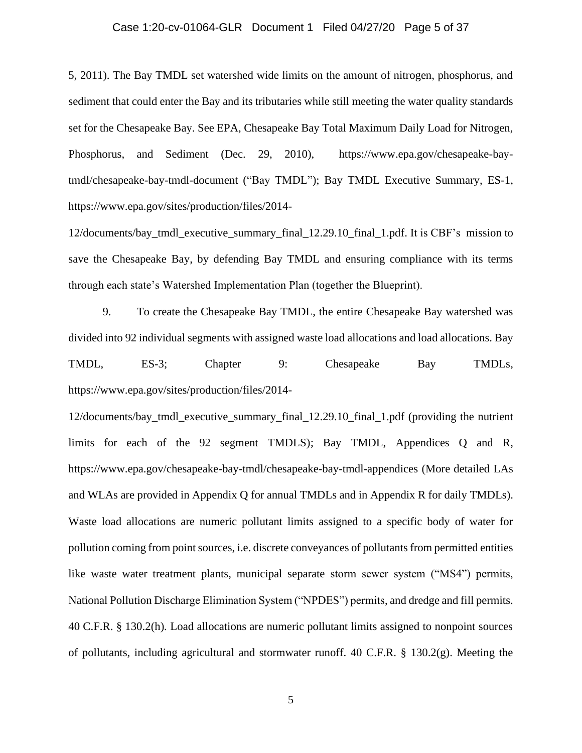## Case 1:20-cv-01064-GLR Document 1 Filed 04/27/20 Page 5 of 37

5, 2011). The Bay TMDL set watershed wide limits on the amount of nitrogen, phosphorus, and sediment that could enter the Bay and its tributaries while still meeting the water quality standards set for the Chesapeake Bay. See EPA, Chesapeake Bay Total Maximum Daily Load for Nitrogen, Phosphorus, and Sediment (Dec. 29, 2010), [https://www.epa.gov/chesapeake-bay](https://www.epa.gov/chesapeake-bay-tmdl/chesapeake-bay-tmdl-document)[tmdl/chesapeake-bay-tmdl-document](https://www.epa.gov/chesapeake-bay-tmdl/chesapeake-bay-tmdl-document) ("Bay TMDL"); Bay TMDL Executive Summary, ES-1, [https://www.epa.gov/sites/production/files/2014-](https://www.epa.gov/sites/production/files/2014-12/documents/bay_tmdl_executive_summary_final_12.29.10_final_1.pdf)

[12/documents/bay\\_tmdl\\_executive\\_summary\\_final\\_12.29.10\\_final\\_1.pdf.](https://www.epa.gov/sites/production/files/2014-12/documents/bay_tmdl_executive_summary_final_12.29.10_final_1.pdf) It is CBF's mission to save the Chesapeake Bay, by defending Bay TMDL and ensuring compliance with its terms through each state's Watershed Implementation Plan (together the Blueprint).

9. To create the Chesapeake Bay TMDL, the entire Chesapeake Bay watershed was divided into 92 individual segments with assigned waste load allocations and load allocations. Bay TMDL, ES-3; Chapter 9: Chesapeake Bay TMDLs, [https://www.epa.gov/sites/production/files/2014-](https://www.epa.gov/sites/production/files/2014-12/documents/bay_tmdl_executive_summary_final_12.29.10_final_1.pdf)

[12/documents/bay\\_tmdl\\_executive\\_summary\\_final\\_12.29.10\\_final\\_1.pdf](https://www.epa.gov/sites/production/files/2014-12/documents/bay_tmdl_executive_summary_final_12.29.10_final_1.pdf) (providing the nutrient limits for each of the 92 segment TMDLS); Bay TMDL, Appendices Q and R, <https://www.epa.gov/chesapeake-bay-tmdl/chesapeake-bay-tmdl-appendices> (More detailed LAs and WLAs are provided in Appendix Q for annual TMDLs and in Appendix R for daily TMDLs). Waste load allocations are numeric pollutant limits assigned to a specific body of water for pollution coming from point sources, i.e. discrete conveyances of pollutants from permitted entities like waste water treatment plants, municipal separate storm sewer system ("MS4") permits, National Pollution Discharge Elimination System ("NPDES") permits, and dredge and fill permits. 40 C.F.R. § 130.2(h). Load allocations are numeric pollutant limits assigned to nonpoint sources of pollutants, including agricultural and stormwater runoff. 40 C.F.R. § 130.2(g). Meeting the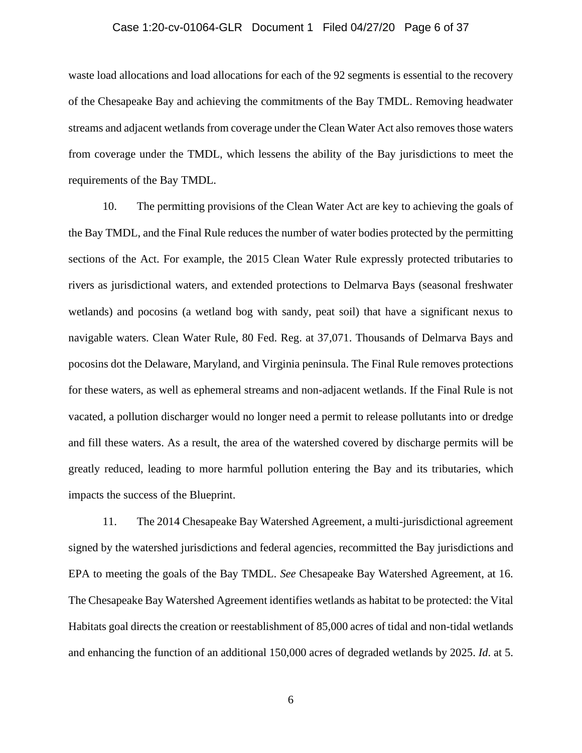#### Case 1:20-cv-01064-GLR Document 1 Filed 04/27/20 Page 6 of 37

waste load allocations and load allocations for each of the 92 segments is essential to the recovery of the Chesapeake Bay and achieving the commitments of the Bay TMDL. Removing headwater streams and adjacent wetlands from coverage under the Clean Water Act also removes those waters from coverage under the TMDL, which lessens the ability of the Bay jurisdictions to meet the requirements of the Bay TMDL.

10. The permitting provisions of the Clean Water Act are key to achieving the goals of the Bay TMDL, and the Final Rule reduces the number of water bodies protected by the permitting sections of the Act. For example, the 2015 Clean Water Rule expressly protected tributaries to rivers as jurisdictional waters, and extended protections to Delmarva Bays (seasonal freshwater wetlands) and pocosins (a wetland bog with sandy, peat soil) that have a significant nexus to navigable waters. Clean Water Rule, 80 Fed. Reg. at 37,071. Thousands of Delmarva Bays and pocosins dot the Delaware, Maryland, and Virginia peninsula. The Final Rule removes protections for these waters, as well as ephemeral streams and non-adjacent wetlands. If the Final Rule is not vacated, a pollution discharger would no longer need a permit to release pollutants into or dredge and fill these waters. As a result, the area of the watershed covered by discharge permits will be greatly reduced, leading to more harmful pollution entering the Bay and its tributaries, which impacts the success of the Blueprint.

11. The 2014 Chesapeake Bay Watershed Agreement, a multi-jurisdictional agreement signed by the watershed jurisdictions and federal agencies, recommitted the Bay jurisdictions and EPA to meeting the goals of the Bay TMDL. *See* Chesapeake Bay Watershed Agreement, at 16. The Chesapeake Bay Watershed Agreement identifies wetlands as habitat to be protected: the Vital Habitats goal directs the creation or reestablishment of 85,000 acres of tidal and non-tidal wetlands and enhancing the function of an additional 150,000 acres of degraded wetlands by 2025. *Id*. at 5.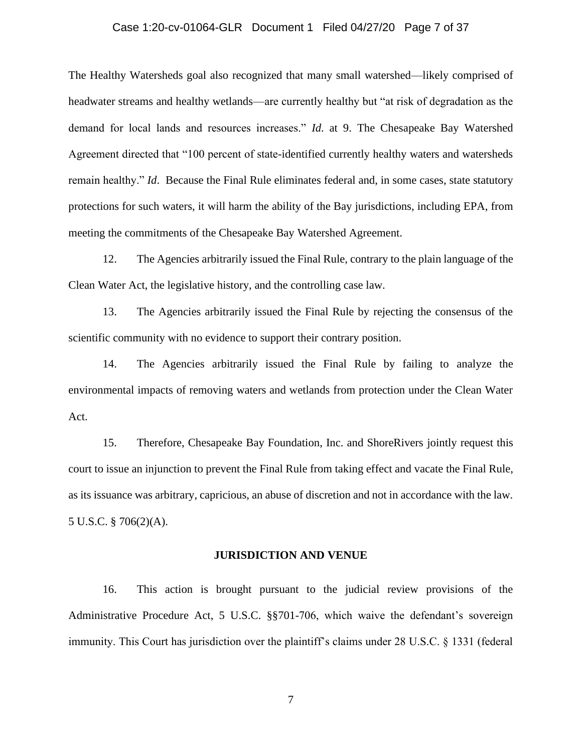#### Case 1:20-cv-01064-GLR Document 1 Filed 04/27/20 Page 7 of 37

The Healthy Watersheds goal also recognized that many small watershed—likely comprised of headwater streams and healthy wetlands—are currently healthy but "at risk of degradation as the demand for local lands and resources increases." *Id*. at 9. The Chesapeake Bay Watershed Agreement directed that "100 percent of state-identified currently healthy waters and watersheds remain healthy." *Id*. Because the Final Rule eliminates federal and, in some cases, state statutory protections for such waters, it will harm the ability of the Bay jurisdictions, including EPA, from meeting the commitments of the Chesapeake Bay Watershed Agreement.

12. The Agencies arbitrarily issued the Final Rule, contrary to the plain language of the Clean Water Act, the legislative history, and the controlling case law.

13. The Agencies arbitrarily issued the Final Rule by rejecting the consensus of the scientific community with no evidence to support their contrary position.

14. The Agencies arbitrarily issued the Final Rule by failing to analyze the environmental impacts of removing waters and wetlands from protection under the Clean Water Act.

15. Therefore, Chesapeake Bay Foundation, Inc. and ShoreRivers jointly request this court to issue an injunction to prevent the Final Rule from taking effect and vacate the Final Rule, as its issuance was arbitrary, capricious, an abuse of discretion and not in accordance with the law. 5 U.S.C. § 706(2)(A).

#### **JURISDICTION AND VENUE**

16. This action is brought pursuant to the judicial review provisions of the Administrative Procedure Act, 5 U.S.C. §§701-706, which waive the defendant's sovereign immunity. This Court has jurisdiction over the plaintiff's claims under 28 U.S.C. § 1331 (federal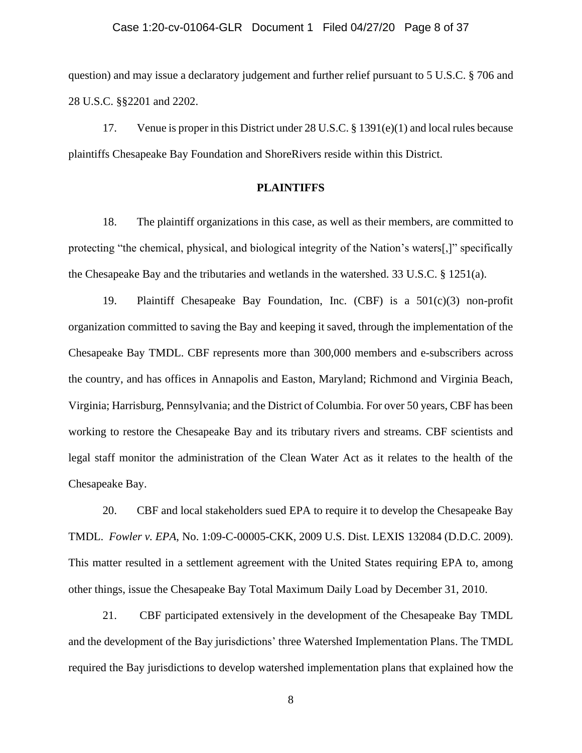#### Case 1:20-cv-01064-GLR Document 1 Filed 04/27/20 Page 8 of 37

question) and may issue a declaratory judgement and further relief pursuant to 5 U.S.C. § 706 and 28 U.S.C. §§2201 and 2202.

17. Venue is proper in this District under 28 U.S.C. § 1391(e)(1) and local rules because plaintiffs Chesapeake Bay Foundation and ShoreRivers reside within this District.

## **PLAINTIFFS**

18. The plaintiff organizations in this case, as well as their members, are committed to protecting "the chemical, physical, and biological integrity of the Nation's waters[,]" specifically the Chesapeake Bay and the tributaries and wetlands in the watershed. 33 U.S.C. § 1251(a).

19. Plaintiff Chesapeake Bay Foundation, Inc. (CBF) is a 501(c)(3) non-profit organization committed to saving the Bay and keeping it saved, through the implementation of the Chesapeake Bay TMDL. CBF represents more than 300,000 members and e-subscribers across the country, and has offices in Annapolis and Easton, Maryland; Richmond and Virginia Beach, Virginia; Harrisburg, Pennsylvania; and the District of Columbia. For over 50 years, CBF has been working to restore the Chesapeake Bay and its tributary rivers and streams. CBF scientists and legal staff monitor the administration of the Clean Water Act as it relates to the health of the Chesapeake Bay.

20. CBF and local stakeholders sued EPA to require it to develop the Chesapeake Bay TMDL. *Fowler v. EPA*, No. 1:09-C-00005-CKK, 2009 U.S. Dist. LEXIS 132084 (D.D.C. 2009). This matter resulted in a settlement agreement with the United States requiring EPA to, among other things, issue the Chesapeake Bay Total Maximum Daily Load by December 31, 2010.

21. CBF participated extensively in the development of the Chesapeake Bay TMDL and the development of the Bay jurisdictions' three Watershed Implementation Plans. The TMDL required the Bay jurisdictions to develop watershed implementation plans that explained how the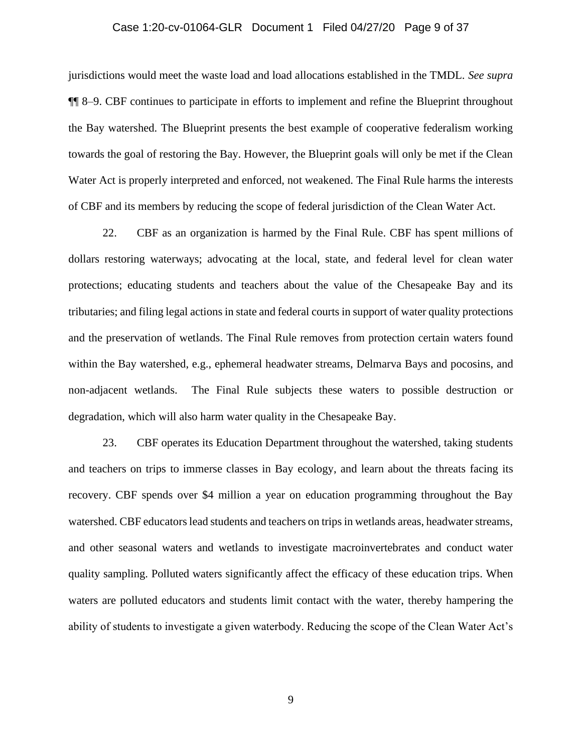#### Case 1:20-cv-01064-GLR Document 1 Filed 04/27/20 Page 9 of 37

jurisdictions would meet the waste load and load allocations established in the TMDL. *See supra* ¶¶ 8–9. CBF continues to participate in efforts to implement and refine the Blueprint throughout the Bay watershed. The Blueprint presents the best example of cooperative federalism working towards the goal of restoring the Bay. However, the Blueprint goals will only be met if the Clean Water Act is properly interpreted and enforced, not weakened. The Final Rule harms the interests of CBF and its members by reducing the scope of federal jurisdiction of the Clean Water Act.

22. CBF as an organization is harmed by the Final Rule. CBF has spent millions of dollars restoring waterways; advocating at the local, state, and federal level for clean water protections; educating students and teachers about the value of the Chesapeake Bay and its tributaries; and filing legal actions in state and federal courts in support of water quality protections and the preservation of wetlands. The Final Rule removes from protection certain waters found within the Bay watershed, e.g., ephemeral headwater streams, Delmarva Bays and pocosins, and non-adjacent wetlands. The Final Rule subjects these waters to possible destruction or degradation, which will also harm water quality in the Chesapeake Bay.

23. CBF operates its Education Department throughout the watershed, taking students and teachers on trips to immerse classes in Bay ecology, and learn about the threats facing its recovery. CBF spends over \$4 million a year on education programming throughout the Bay watershed. CBF educators lead students and teachers on trips in wetlands areas, headwater streams, and other seasonal waters and wetlands to investigate macroinvertebrates and conduct water quality sampling. Polluted waters significantly affect the efficacy of these education trips. When waters are polluted educators and students limit contact with the water, thereby hampering the ability of students to investigate a given waterbody. Reducing the scope of the Clean Water Act's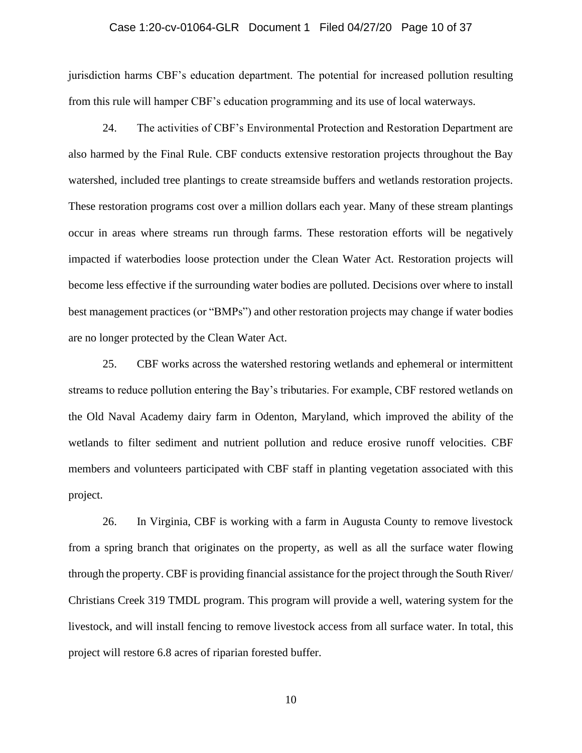#### Case 1:20-cv-01064-GLR Document 1 Filed 04/27/20 Page 10 of 37

jurisdiction harms CBF's education department. The potential for increased pollution resulting from this rule will hamper CBF's education programming and its use of local waterways.

24. The activities of CBF's Environmental Protection and Restoration Department are also harmed by the Final Rule. CBF conducts extensive restoration projects throughout the Bay watershed, included tree plantings to create streamside buffers and wetlands restoration projects. These restoration programs cost over a million dollars each year. Many of these stream plantings occur in areas where streams run through farms. These restoration efforts will be negatively impacted if waterbodies loose protection under the Clean Water Act. Restoration projects will become less effective if the surrounding water bodies are polluted. Decisions over where to install best management practices (or "BMPs") and other restoration projects may change if water bodies are no longer protected by the Clean Water Act.

25. CBF works across the watershed restoring wetlands and ephemeral or intermittent streams to reduce pollution entering the Bay's tributaries. For example, CBF restored wetlands on the Old Naval Academy dairy farm in Odenton, Maryland, which improved the ability of the wetlands to filter sediment and nutrient pollution and reduce erosive runoff velocities. CBF members and volunteers participated with CBF staff in planting vegetation associated with this project.

26. In Virginia, CBF is working with a farm in Augusta County to remove livestock from a spring branch that originates on the property, as well as all the surface water flowing through the property. CBF is providing financial assistance for the project through the South River/ Christians Creek 319 TMDL program. This program will provide a well, watering system for the livestock, and will install fencing to remove livestock access from all surface water. In total, this project will restore 6.8 acres of riparian forested buffer.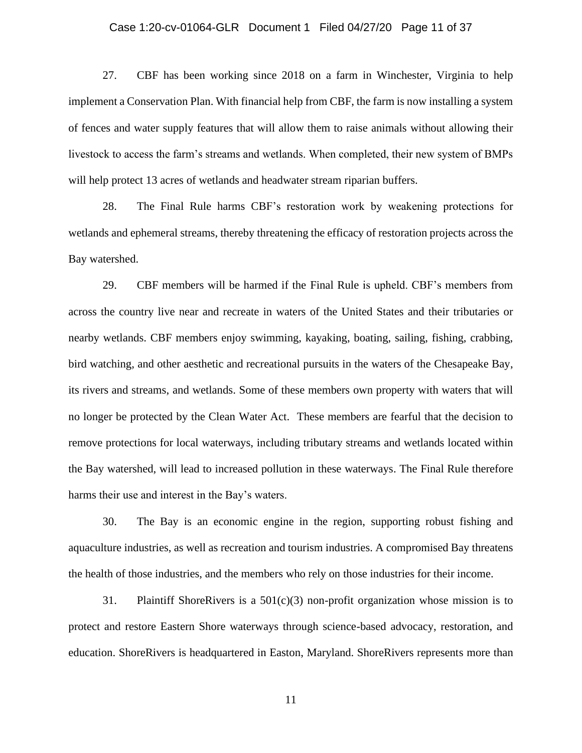#### Case 1:20-cv-01064-GLR Document 1 Filed 04/27/20 Page 11 of 37

27. CBF has been working since 2018 on a farm in Winchester, Virginia to help implement a Conservation Plan. With financial help from CBF, the farm is now installing a system of fences and water supply features that will allow them to raise animals without allowing their livestock to access the farm's streams and wetlands. When completed, their new system of BMPs will help protect 13 acres of wetlands and headwater stream riparian buffers.

28. The Final Rule harms CBF's restoration work by weakening protections for wetlands and ephemeral streams, thereby threatening the efficacy of restoration projects across the Bay watershed.

29. CBF members will be harmed if the Final Rule is upheld. CBF's members from across the country live near and recreate in waters of the United States and their tributaries or nearby wetlands. CBF members enjoy swimming, kayaking, boating, sailing, fishing, crabbing, bird watching, and other aesthetic and recreational pursuits in the waters of the Chesapeake Bay, its rivers and streams, and wetlands. Some of these members own property with waters that will no longer be protected by the Clean Water Act. These members are fearful that the decision to remove protections for local waterways, including tributary streams and wetlands located within the Bay watershed, will lead to increased pollution in these waterways. The Final Rule therefore harms their use and interest in the Bay's waters.

30. The Bay is an economic engine in the region, supporting robust fishing and aquaculture industries, as well as recreation and tourism industries. A compromised Bay threatens the health of those industries, and the members who rely on those industries for their income.

31. Plaintiff ShoreRivers is a  $501(c)(3)$  non-profit organization whose mission is to protect and restore Eastern Shore waterways through science-based advocacy, restoration, and education. ShoreRivers is headquartered in Easton, Maryland. ShoreRivers represents more than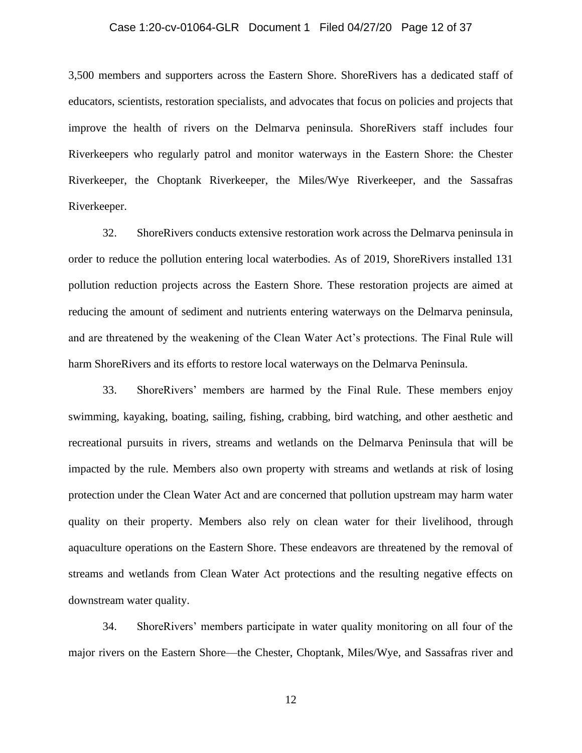## Case 1:20-cv-01064-GLR Document 1 Filed 04/27/20 Page 12 of 37

3,500 members and supporters across the Eastern Shore. ShoreRivers has a dedicated staff of educators, scientists, restoration specialists, and advocates that focus on policies and projects that improve the health of rivers on the Delmarva peninsula. ShoreRivers staff includes four Riverkeepers who regularly patrol and monitor waterways in the Eastern Shore: the Chester Riverkeeper, the Choptank Riverkeeper, the Miles/Wye Riverkeeper, and the Sassafras Riverkeeper.

32. ShoreRivers conducts extensive restoration work across the Delmarva peninsula in order to reduce the pollution entering local waterbodies. As of 2019, ShoreRivers installed 131 pollution reduction projects across the Eastern Shore. These restoration projects are aimed at reducing the amount of sediment and nutrients entering waterways on the Delmarva peninsula, and are threatened by the weakening of the Clean Water Act's protections. The Final Rule will harm ShoreRivers and its efforts to restore local waterways on the Delmarva Peninsula.

33. ShoreRivers' members are harmed by the Final Rule. These members enjoy swimming, kayaking, boating, sailing, fishing, crabbing, bird watching, and other aesthetic and recreational pursuits in rivers, streams and wetlands on the Delmarva Peninsula that will be impacted by the rule. Members also own property with streams and wetlands at risk of losing protection under the Clean Water Act and are concerned that pollution upstream may harm water quality on their property. Members also rely on clean water for their livelihood, through aquaculture operations on the Eastern Shore. These endeavors are threatened by the removal of streams and wetlands from Clean Water Act protections and the resulting negative effects on downstream water quality.

34. ShoreRivers' members participate in water quality monitoring on all four of the major rivers on the Eastern Shore—the Chester, Choptank, Miles/Wye, and Sassafras river and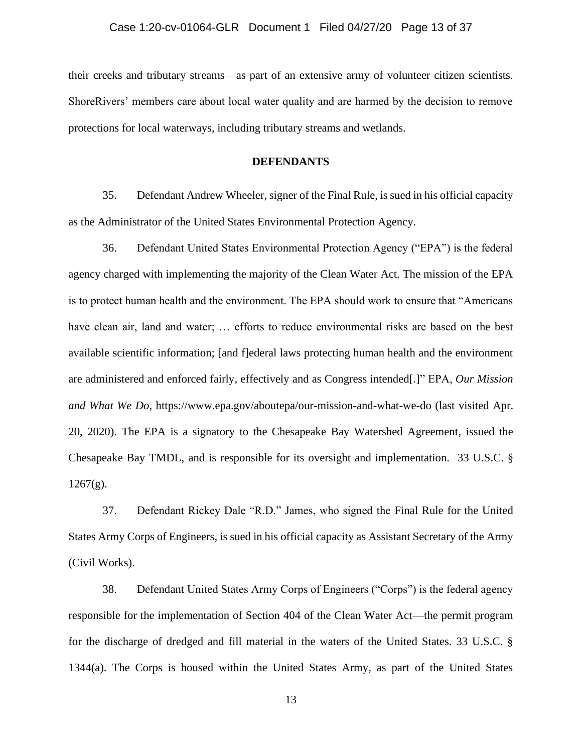#### Case 1:20-cv-01064-GLR Document 1 Filed 04/27/20 Page 13 of 37

their creeks and tributary streams—as part of an extensive army of volunteer citizen scientists. ShoreRivers' members care about local water quality and are harmed by the decision to remove protections for local waterways, including tributary streams and wetlands.

#### **DEFENDANTS**

35. Defendant Andrew Wheeler, signer of the Final Rule, is sued in his official capacity as the Administrator of the United States Environmental Protection Agency.

36. Defendant United States Environmental Protection Agency ("EPA") is the federal agency charged with implementing the majority of the Clean Water Act. The mission of the EPA is to protect human health and the environment. The EPA should work to ensure that "Americans have clean air, land and water; … efforts to reduce environmental risks are based on the best available scientific information; [and f]ederal laws protecting human health and the environment are administered and enforced fairly, effectively and as Congress intended[.]" EPA, *Our Mission and What We Do*,<https://www.epa.gov/aboutepa/our-mission-and-what-we-do> (last visited Apr. 20, 2020). The EPA is a signatory to the Chesapeake Bay Watershed Agreement, issued the Chesapeake Bay TMDL, and is responsible for its oversight and implementation. 33 U.S.C. §  $1267(g)$ .

37. Defendant Rickey Dale "R.D." James, who signed the Final Rule for the United States Army Corps of Engineers, is sued in his official capacity as Assistant Secretary of the Army (Civil Works).

38. Defendant United States Army Corps of Engineers ("Corps") is the federal agency responsible for the implementation of Section 404 of the Clean Water Act—the permit program for the discharge of dredged and fill material in the waters of the United States. 33 U.S.C. § 1344(a). The Corps is housed within the United States Army, as part of the United States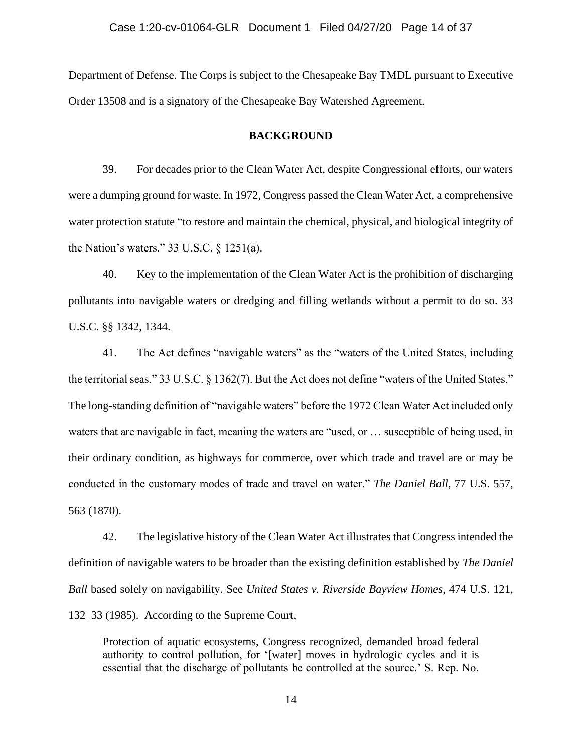Department of Defense. The Corps is subject to the Chesapeake Bay TMDL pursuant to Executive Order 13508 and is a signatory of the Chesapeake Bay Watershed Agreement.

#### **BACKGROUND**

39. For decades prior to the Clean Water Act, despite Congressional efforts, our waters were a dumping ground for waste. In 1972, Congress passed the Clean Water Act, a comprehensive water protection statute "to restore and maintain the chemical, physical, and biological integrity of the Nation's waters." 33 U.S.C.  $\S$  1251(a).

40. Key to the implementation of the Clean Water Act is the prohibition of discharging pollutants into navigable waters or dredging and filling wetlands without a permit to do so. 33 U.S.C. §§ 1342, 1344.

41. The Act defines "navigable waters" as the "waters of the United States, including the territorial seas." 33 U.S.C. § 1362(7). But the Act does not define "waters of the United States." The long-standing definition of "navigable waters" before the 1972 Clean Water Act included only waters that are navigable in fact, meaning the waters are "used, or … susceptible of being used, in their ordinary condition, as highways for commerce, over which trade and travel are or may be conducted in the customary modes of trade and travel on water." *The Daniel Ball*, 77 U.S. 557, 563 (1870).

42. The legislative history of the Clean Water Act illustrates that Congress intended the definition of navigable waters to be broader than the existing definition established by *The Daniel Ball* based solely on navigability. See *United States v. Riverside Bayview Homes*, 474 U.S. 121, 132–33 (1985). According to the Supreme Court,

Protection of aquatic ecosystems, Congress recognized, demanded broad federal authority to control pollution, for '[water] moves in hydrologic cycles and it is essential that the discharge of pollutants be controlled at the source.' S. Rep. No.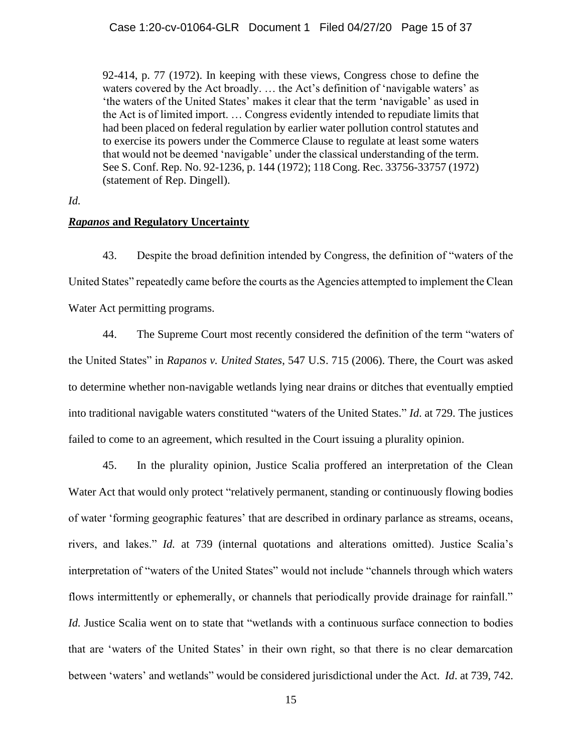92-414, p. 77 (1972). In keeping with these views, Congress chose to define the waters covered by the Act broadly. … the Act's definition of 'navigable waters' as 'the waters of the United States' makes it clear that the term 'navigable' as used in the Act is of limited import. … Congress evidently intended to repudiate limits that had been placed on federal regulation by earlier water pollution control statutes and to exercise its powers under the Commerce Clause to regulate at least some waters that would not be deemed 'navigable' under the classical understanding of the term. See S. Conf. Rep. No. 92-1236, p. 144 (1972); 118 Cong. Rec. 33756-33757 (1972) (statement of Rep. Dingell).

*Id.* 

## *Rapanos* **and Regulatory Uncertainty**

43. Despite the broad definition intended by Congress, the definition of "waters of the United States" repeatedly came before the courts as the Agencies attempted to implement the Clean Water Act permitting programs.

44. The Supreme Court most recently considered the definition of the term "waters of the United States" in *Rapanos v. United States*, 547 U.S. 715 (2006). There, the Court was asked to determine whether non-navigable wetlands lying near drains or ditches that eventually emptied into traditional navigable waters constituted "waters of the United States." *Id*. at 729. The justices failed to come to an agreement, which resulted in the Court issuing a plurality opinion.

45. In the plurality opinion, Justice Scalia proffered an interpretation of the Clean Water Act that would only protect "relatively permanent, standing or continuously flowing bodies of water 'forming geographic features' that are described in ordinary parlance as streams, oceans, rivers, and lakes." *Id.* at 739 (internal quotations and alterations omitted). Justice Scalia's interpretation of "waters of the United States" would not include "channels through which waters flows intermittently or ephemerally, or channels that periodically provide drainage for rainfall." *Id.* Justice Scalia went on to state that "wetlands with a continuous surface connection to bodies that are 'waters of the United States' in their own right, so that there is no clear demarcation between 'waters' and wetlands" would be considered jurisdictional under the Act. *Id*. at 739, 742.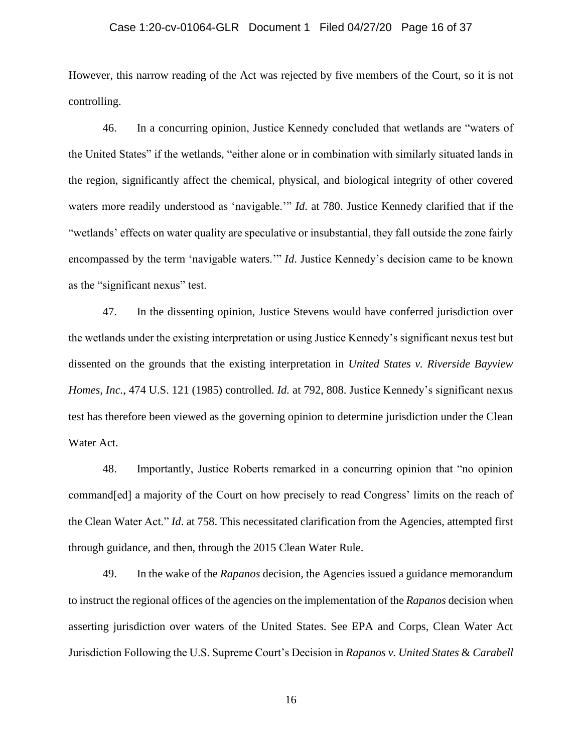## Case 1:20-cv-01064-GLR Document 1 Filed 04/27/20 Page 16 of 37

However, this narrow reading of the Act was rejected by five members of the Court, so it is not controlling.

46. In a concurring opinion, Justice Kennedy concluded that wetlands are "waters of the United States" if the wetlands, "either alone or in combination with similarly situated lands in the region, significantly affect the chemical, physical, and biological integrity of other covered waters more readily understood as 'navigable.'" *Id*. at 780. Justice Kennedy clarified that if the "wetlands' effects on water quality are speculative or insubstantial, they fall outside the zone fairly encompassed by the term 'navigable waters.'" *Id*. Justice Kennedy's decision came to be known as the "significant nexus" test.

47. In the dissenting opinion, Justice Stevens would have conferred jurisdiction over the wetlands under the existing interpretation or using Justice Kennedy's significant nexus test but dissented on the grounds that the existing interpretation in *United States v. Riverside Bayview Homes, Inc.*, 474 U.S. 121 (1985) controlled. *Id.* at 792, 808. Justice Kennedy's significant nexus test has therefore been viewed as the governing opinion to determine jurisdiction under the Clean Water Act.

48. Importantly, Justice Roberts remarked in a concurring opinion that "no opinion command[ed] a majority of the Court on how precisely to read Congress' limits on the reach of the Clean Water Act." *Id*. at 758. This necessitated clarification from the Agencies, attempted first through guidance, and then, through the 2015 Clean Water Rule.

49. In the wake of the *Rapanos* decision, the Agencies issued a guidance memorandum to instruct the regional offices of the agencies on the implementation of the *Rapanos* decision when asserting jurisdiction over waters of the United States. See EPA and Corps, Clean Water Act Jurisdiction Following the U.S. Supreme Court's Decision in *Rapanos v. United States* & *Carabell*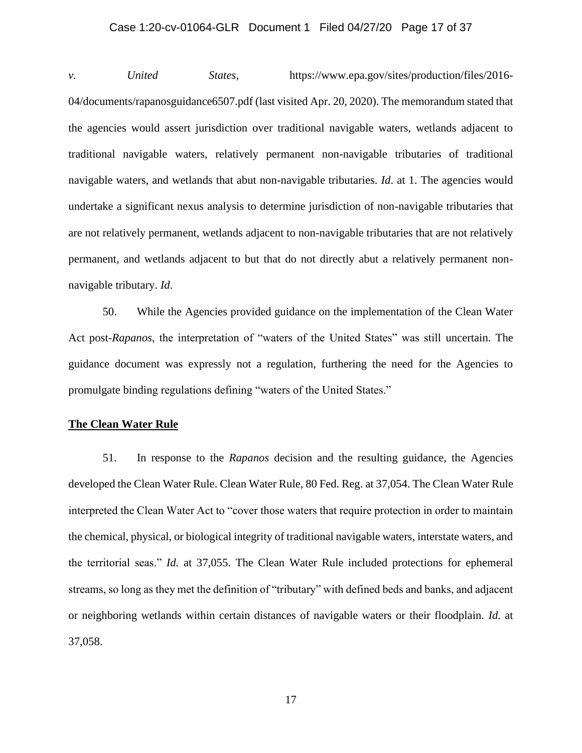## Case 1:20-cv-01064-GLR Document 1 Filed 04/27/20 Page 17 of 37

*v. United States*, [https://www.epa.gov/sites/production/files/2016-](https://www.epa.gov/sites/production/files/2016-04/documents/rapanosguidance6507.pdf) [04/documents/rapanosguidance6507.pdf](https://www.epa.gov/sites/production/files/2016-04/documents/rapanosguidance6507.pdf) (last visited Apr. 20, 2020). The memorandum stated that the agencies would assert jurisdiction over traditional navigable waters, wetlands adjacent to traditional navigable waters, relatively permanent non-navigable tributaries of traditional navigable waters, and wetlands that abut non-navigable tributaries. *Id*. at 1. The agencies would undertake a significant nexus analysis to determine jurisdiction of non-navigable tributaries that are not relatively permanent, wetlands adjacent to non-navigable tributaries that are not relatively permanent, and wetlands adjacent to but that do not directly abut a relatively permanent nonnavigable tributary. *Id*.

50. While the Agencies provided guidance on the implementation of the Clean Water Act post-*Rapanos*, the interpretation of "waters of the United States" was still uncertain. The guidance document was expressly not a regulation, furthering the need for the Agencies to promulgate binding regulations defining "waters of the United States."

#### **The Clean Water Rule**

51. In response to the *Rapanos* decision and the resulting guidance, the Agencies developed the Clean Water Rule. Clean Water Rule, 80 Fed. Reg. at 37,054. The Clean Water Rule interpreted the Clean Water Act to "cover those waters that require protection in order to maintain the chemical, physical, or biological integrity of traditional navigable waters, interstate waters, and the territorial seas." *Id.* at 37,055. The Clean Water Rule included protections for ephemeral streams, so long as they met the definition of "tributary" with defined beds and banks, and adjacent or neighboring wetlands within certain distances of navigable waters or their floodplain. *Id.* at 37,058.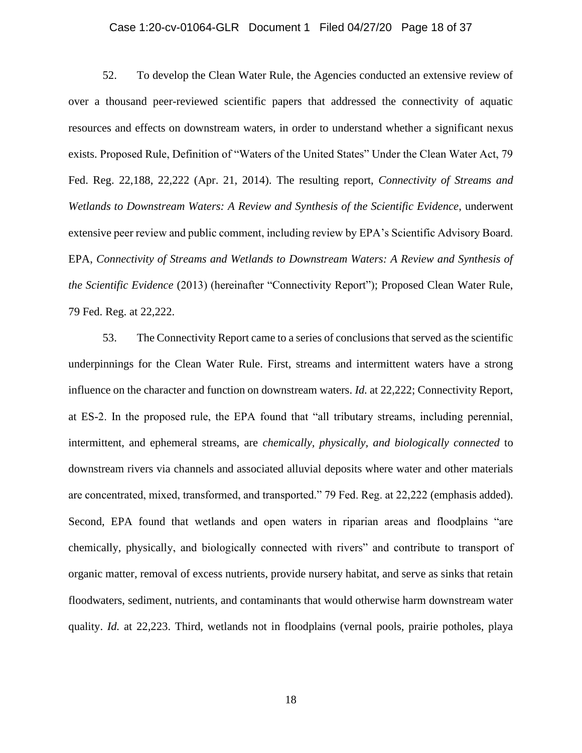## Case 1:20-cv-01064-GLR Document 1 Filed 04/27/20 Page 18 of 37

52. To develop the Clean Water Rule, the Agencies conducted an extensive review of over a thousand peer-reviewed scientific papers that addressed the connectivity of aquatic resources and effects on downstream waters, in order to understand whether a significant nexus exists. Proposed Rule, Definition of "Waters of the United States" Under the Clean Water Act, 79 Fed. Reg. 22,188, 22,222 (Apr. 21, 2014). The resulting report, *Connectivity of Streams and Wetlands to Downstream Waters: A Review and Synthesis of the Scientific Evidence*, underwent extensive peer review and public comment, including review by EPA's Scientific Advisory Board. EPA, *Connectivity of Streams and Wetlands to Downstream Waters: A Review and Synthesis of the Scientific Evidence* (2013) (hereinafter "Connectivity Report"); Proposed Clean Water Rule, 79 Fed. Reg. at 22,222.

53. The Connectivity Report came to a series of conclusions that served as the scientific underpinnings for the Clean Water Rule. First, streams and intermittent waters have a strong influence on the character and function on downstream waters. *Id.* at 22,222; Connectivity Report, at ES-2. In the proposed rule, the EPA found that "all tributary streams, including perennial, intermittent, and ephemeral streams, are *chemically, physically, and biologically connected* to downstream rivers via channels and associated alluvial deposits where water and other materials are concentrated, mixed, transformed, and transported." 79 Fed. Reg. at 22,222 (emphasis added). Second, EPA found that wetlands and open waters in riparian areas and floodplains "are chemically, physically, and biologically connected with rivers" and contribute to transport of organic matter, removal of excess nutrients, provide nursery habitat, and serve as sinks that retain floodwaters, sediment, nutrients, and contaminants that would otherwise harm downstream water quality. *Id.* at 22,223. Third, wetlands not in floodplains (vernal pools, prairie potholes, playa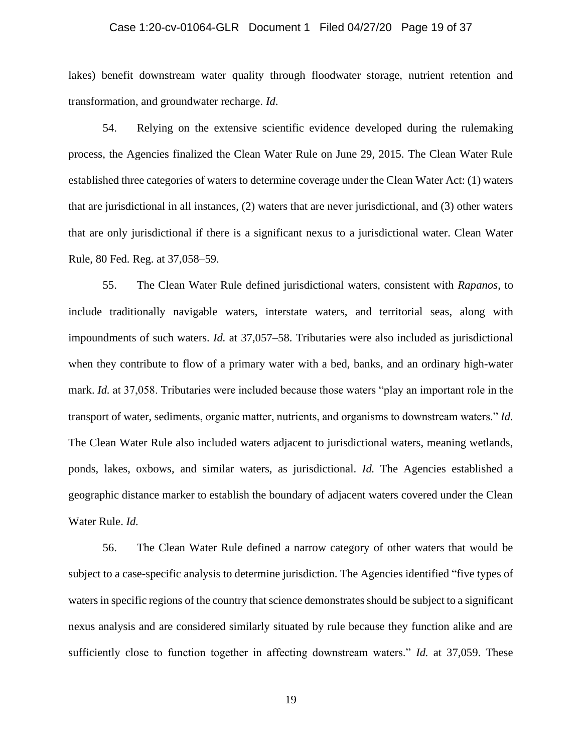### Case 1:20-cv-01064-GLR Document 1 Filed 04/27/20 Page 19 of 37

lakes) benefit downstream water quality through floodwater storage, nutrient retention and transformation, and groundwater recharge. *Id*.

54. Relying on the extensive scientific evidence developed during the rulemaking process, the Agencies finalized the Clean Water Rule on June 29, 2015. The Clean Water Rule established three categories of waters to determine coverage under the Clean Water Act: (1) waters that are jurisdictional in all instances, (2) waters that are never jurisdictional, and (3) other waters that are only jurisdictional if there is a significant nexus to a jurisdictional water. Clean Water Rule, 80 Fed. Reg. at 37,058–59.

55. The Clean Water Rule defined jurisdictional waters, consistent with *Rapanos*, to include traditionally navigable waters, interstate waters, and territorial seas, along with impoundments of such waters. *Id.* at 37,057–58. Tributaries were also included as jurisdictional when they contribute to flow of a primary water with a bed, banks, and an ordinary high-water mark. *Id.* at 37,058. Tributaries were included because those waters "play an important role in the transport of water, sediments, organic matter, nutrients, and organisms to downstream waters." *Id.* The Clean Water Rule also included waters adjacent to jurisdictional waters, meaning wetlands, ponds, lakes, oxbows, and similar waters, as jurisdictional. *Id.* The Agencies established a geographic distance marker to establish the boundary of adjacent waters covered under the Clean Water Rule. *Id.*

56. The Clean Water Rule defined a narrow category of other waters that would be subject to a case-specific analysis to determine jurisdiction. The Agencies identified "five types of waters in specific regions of the country that science demonstrates should be subject to a significant nexus analysis and are considered similarly situated by rule because they function alike and are sufficiently close to function together in affecting downstream waters." *Id.* at 37,059. These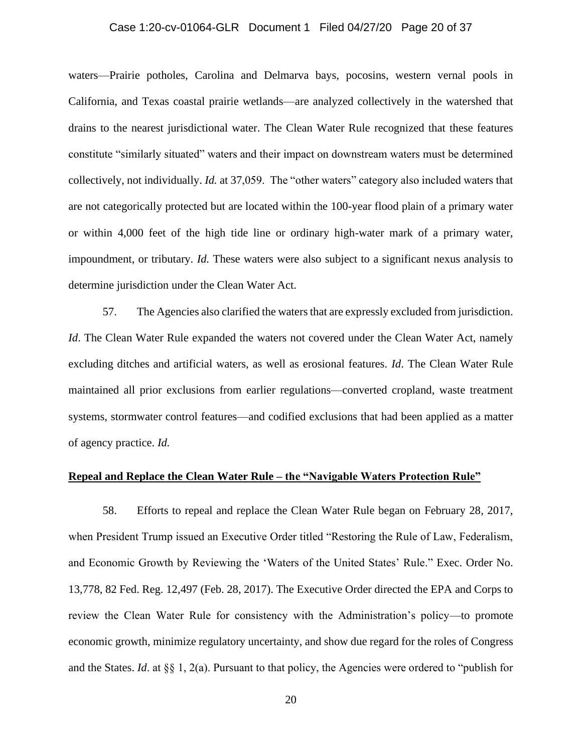## Case 1:20-cv-01064-GLR Document 1 Filed 04/27/20 Page 20 of 37

waters—Prairie potholes, Carolina and Delmarva bays, pocosins, western vernal pools in California, and Texas coastal prairie wetlands—are analyzed collectively in the watershed that drains to the nearest jurisdictional water. The Clean Water Rule recognized that these features constitute "similarly situated" waters and their impact on downstream waters must be determined collectively, not individually. *Id.* at 37,059. The "other waters" category also included waters that are not categorically protected but are located within the 100-year flood plain of a primary water or within 4,000 feet of the high tide line or ordinary high-water mark of a primary water, impoundment, or tributary. *Id.* These waters were also subject to a significant nexus analysis to determine jurisdiction under the Clean Water Act.

57. The Agencies also clarified the waters that are expressly excluded from jurisdiction. *Id*. The Clean Water Rule expanded the waters not covered under the Clean Water Act, namely excluding ditches and artificial waters, as well as erosional features. *Id*. The Clean Water Rule maintained all prior exclusions from earlier regulations—converted cropland, waste treatment systems, stormwater control features—and codified exclusions that had been applied as a matter of agency practice. *Id.* 

#### **Repeal and Replace the Clean Water Rule – the "Navigable Waters Protection Rule"**

58. Efforts to repeal and replace the Clean Water Rule began on February 28, 2017, when President Trump issued an Executive Order titled "Restoring the Rule of Law, Federalism, and Economic Growth by Reviewing the 'Waters of the United States' Rule." Exec. Order No. 13,778, 82 Fed. Reg. 12,497 (Feb. 28, 2017). The Executive Order directed the EPA and Corps to review the Clean Water Rule for consistency with the Administration's policy—to promote economic growth, minimize regulatory uncertainty, and show due regard for the roles of Congress and the States. *Id*. at §§ 1, 2(a). Pursuant to that policy, the Agencies were ordered to "publish for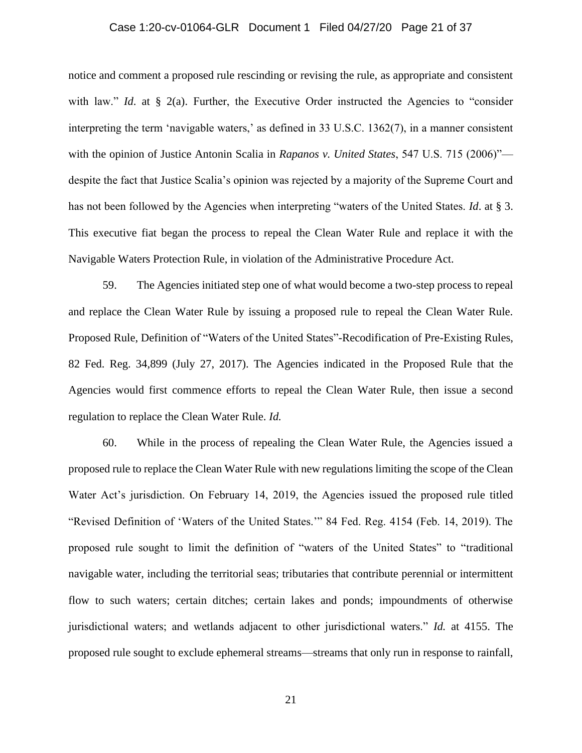## Case 1:20-cv-01064-GLR Document 1 Filed 04/27/20 Page 21 of 37

notice and comment a proposed rule rescinding or revising the rule, as appropriate and consistent with law." *Id.* at § 2(a). Further, the Executive Order instructed the Agencies to "consider" interpreting the term 'navigable waters,' as defined in 33 U.S.C. 1362(7), in a manner consistent with the opinion of Justice Antonin Scalia in *Rapanos v. United States*, 547 U.S. 715 (2006)" despite the fact that Justice Scalia's opinion was rejected by a majority of the Supreme Court and has not been followed by the Agencies when interpreting "waters of the United States. *Id*. at § 3. This executive fiat began the process to repeal the Clean Water Rule and replace it with the Navigable Waters Protection Rule, in violation of the Administrative Procedure Act.

59. The Agencies initiated step one of what would become a two-step process to repeal and replace the Clean Water Rule by issuing a proposed rule to repeal the Clean Water Rule. Proposed Rule, Definition of "Waters of the United States"-Recodification of Pre-Existing Rules, 82 Fed. Reg. 34,899 (July 27, 2017). The Agencies indicated in the Proposed Rule that the Agencies would first commence efforts to repeal the Clean Water Rule, then issue a second regulation to replace the Clean Water Rule. *Id.* 

60. While in the process of repealing the Clean Water Rule, the Agencies issued a proposed rule to replace the Clean Water Rule with new regulations limiting the scope of the Clean Water Act's jurisdiction. On February 14, 2019, the Agencies issued the proposed rule titled "Revised Definition of 'Waters of the United States.'" 84 Fed. Reg. 4154 (Feb. 14, 2019). The proposed rule sought to limit the definition of "waters of the United States" to "traditional navigable water, including the territorial seas; tributaries that contribute perennial or intermittent flow to such waters; certain ditches; certain lakes and ponds; impoundments of otherwise jurisdictional waters; and wetlands adjacent to other jurisdictional waters." *Id.* at 4155. The proposed rule sought to exclude ephemeral streams—streams that only run in response to rainfall,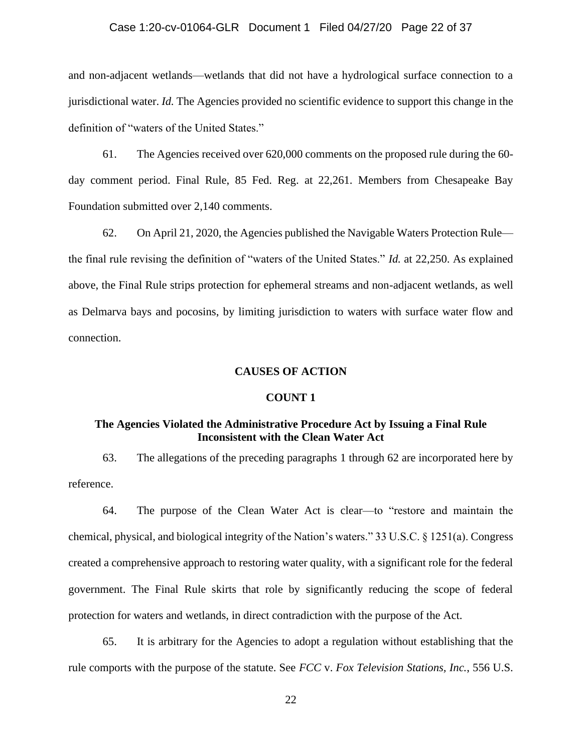#### Case 1:20-cv-01064-GLR Document 1 Filed 04/27/20 Page 22 of 37

and non-adjacent wetlands—wetlands that did not have a hydrological surface connection to a jurisdictional water. *Id.* The Agencies provided no scientific evidence to support this change in the definition of "waters of the United States."

61. The Agencies received over 620,000 comments on the proposed rule during the 60 day comment period. Final Rule, 85 Fed. Reg. at 22,261. Members from Chesapeake Bay Foundation submitted over 2,140 comments.

62. On April 21, 2020, the Agencies published the Navigable Waters Protection Rule the final rule revising the definition of "waters of the United States." *Id.* at 22,250. As explained above, the Final Rule strips protection for ephemeral streams and non-adjacent wetlands, as well as Delmarva bays and pocosins, by limiting jurisdiction to waters with surface water flow and connection.

#### **CAUSES OF ACTION**

#### **COUNT 1**

## **The Agencies Violated the Administrative Procedure Act by Issuing a Final Rule Inconsistent with the Clean Water Act**

63. The allegations of the preceding paragraphs 1 through 62 are incorporated here by reference.

64. The purpose of the Clean Water Act is clear—to "restore and maintain the chemical, physical, and biological integrity of the Nation's waters." 33 U.S.C. § 1251(a). Congress created a comprehensive approach to restoring water quality, with a significant role for the federal government. The Final Rule skirts that role by significantly reducing the scope of federal protection for waters and wetlands, in direct contradiction with the purpose of the Act.

65. It is arbitrary for the Agencies to adopt a regulation without establishing that the rule comports with the purpose of the statute. See *FCC* v. *Fox Television Stations, Inc.*, 556 U.S.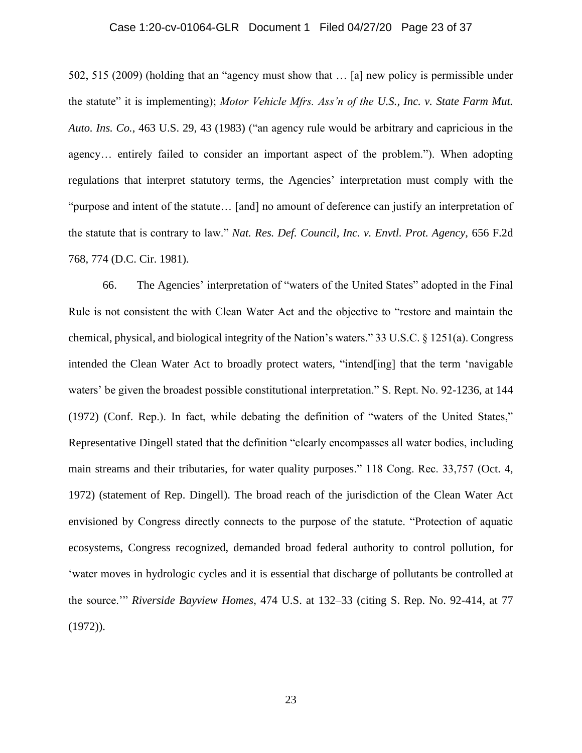#### Case 1:20-cv-01064-GLR Document 1 Filed 04/27/20 Page 23 of 37

502, 515 (2009) (holding that an "agency must show that … [a] new policy is permissible under the statute" it is implementing); *Motor Vehicle Mfrs. Ass'n of the U.S., Inc. v. State Farm Mut. Auto. Ins. Co.*, 463 U.S. 29, 43 (1983) ("an agency rule would be arbitrary and capricious in the agency… entirely failed to consider an important aspect of the problem."). When adopting regulations that interpret statutory terms, the Agencies' interpretation must comply with the "purpose and intent of the statute… [and] no amount of deference can justify an interpretation of the statute that is contrary to law." *Nat. Res. Def. Council, Inc. v. Envtl. Prot. Agency,* 656 F.2d 768, 774 (D.C. Cir. 1981).

66. The Agencies' interpretation of "waters of the United States" adopted in the Final Rule is not consistent the with Clean Water Act and the objective to "restore and maintain the chemical, physical, and biological integrity of the Nation's waters." 33 U.S.C. § 1251(a). Congress intended the Clean Water Act to broadly protect waters, "intend[ing] that the term 'navigable waters' be given the broadest possible constitutional interpretation." S. Rept. No. 92-1236, at 144 (1972) (Conf. Rep.). In fact, while debating the definition of "waters of the United States," Representative Dingell stated that the definition "clearly encompasses all water bodies, including main streams and their tributaries, for water quality purposes." 118 Cong. Rec. 33,757 (Oct. 4, 1972) (statement of Rep. Dingell). The broad reach of the jurisdiction of the Clean Water Act envisioned by Congress directly connects to the purpose of the statute. "Protection of aquatic ecosystems, Congress recognized, demanded broad federal authority to control pollution, for 'water moves in hydrologic cycles and it is essential that discharge of pollutants be controlled at the source.'" *Riverside Bayview Homes*, 474 U.S. at 132–33 (citing S. Rep. No. 92-414, at 77 (1972)).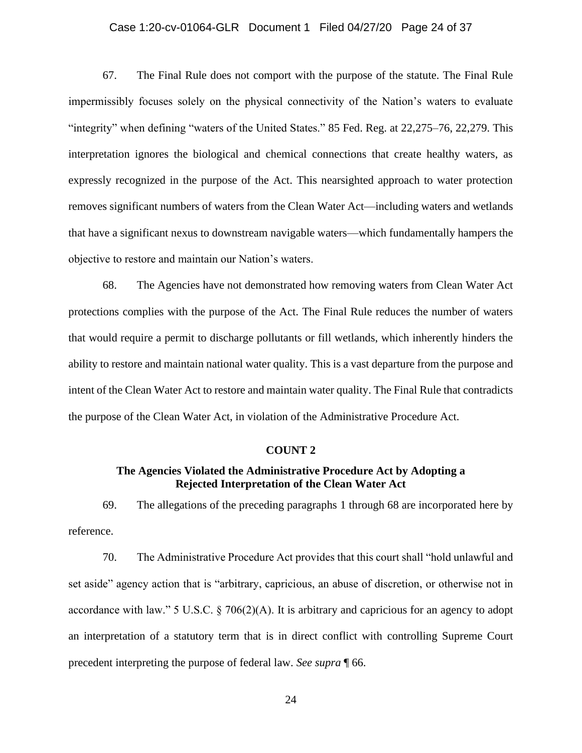#### Case 1:20-cv-01064-GLR Document 1 Filed 04/27/20 Page 24 of 37

67. The Final Rule does not comport with the purpose of the statute. The Final Rule impermissibly focuses solely on the physical connectivity of the Nation's waters to evaluate "integrity" when defining "waters of the United States." 85 Fed. Reg. at 22,275–76, 22,279. This interpretation ignores the biological and chemical connections that create healthy waters, as expressly recognized in the purpose of the Act. This nearsighted approach to water protection removes significant numbers of waters from the Clean Water Act—including waters and wetlands that have a significant nexus to downstream navigable waters—which fundamentally hampers the objective to restore and maintain our Nation's waters.

68. The Agencies have not demonstrated how removing waters from Clean Water Act protections complies with the purpose of the Act. The Final Rule reduces the number of waters that would require a permit to discharge pollutants or fill wetlands, which inherently hinders the ability to restore and maintain national water quality. This is a vast departure from the purpose and intent of the Clean Water Act to restore and maintain water quality. The Final Rule that contradicts the purpose of the Clean Water Act, in violation of the Administrative Procedure Act.

#### **COUNT 2**

## **The Agencies Violated the Administrative Procedure Act by Adopting a Rejected Interpretation of the Clean Water Act**

69. The allegations of the preceding paragraphs 1 through 68 are incorporated here by reference.

70. The Administrative Procedure Act provides that this court shall "hold unlawful and set aside" agency action that is "arbitrary, capricious, an abuse of discretion, or otherwise not in accordance with law." 5 U.S.C. § 706(2)(A). It is arbitrary and capricious for an agency to adopt an interpretation of a statutory term that is in direct conflict with controlling Supreme Court precedent interpreting the purpose of federal law. *See supra* ¶ 66.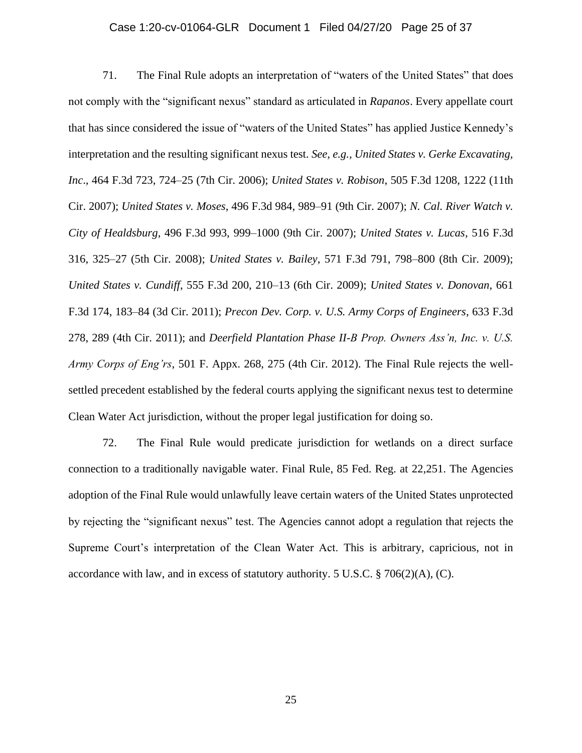## Case 1:20-cv-01064-GLR Document 1 Filed 04/27/20 Page 25 of 37

71. The Final Rule adopts an interpretation of "waters of the United States" that does not comply with the "significant nexus" standard as articulated in *Rapanos*. Every appellate court that has since considered the issue of "waters of the United States" has applied Justice Kennedy's interpretation and the resulting significant nexus test. *See, e.g., United States v. Gerke Excavating, Inc*., 464 F.3d 723, 724–25 (7th Cir. 2006); *United States v. Robison*, 505 F.3d 1208, 1222 (11th Cir. 2007); *United States v. Moses*, 496 F.3d 984, 989–91 (9th Cir. 2007); *N. Cal. River Watch v. City of Healdsburg*, 496 F.3d 993, 999–1000 (9th Cir. 2007); *United States v. Lucas*, 516 F.3d 316, 325–27 (5th Cir. 2008); *United States v. Bailey*, 571 F.3d 791, 798–800 (8th Cir. 2009); *United States v. Cundiff*, 555 F.3d 200, 210–13 (6th Cir. 2009); *United States v. Donovan*, 661 F.3d 174, 183–84 (3d Cir. 2011); *Precon Dev. Corp. v. U.S. Army Corps of Engineers*, 633 F.3d 278, 289 (4th Cir. 2011); and *Deerfield Plantation Phase II-B Prop. Owners Ass'n, Inc. v. U.S. Army Corps of Eng'rs*, 501 F. Appx. 268, 275 (4th Cir. 2012). The Final Rule rejects the wellsettled precedent established by the federal courts applying the significant nexus test to determine Clean Water Act jurisdiction, without the proper legal justification for doing so.

72. The Final Rule would predicate jurisdiction for wetlands on a direct surface connection to a traditionally navigable water. Final Rule, 85 Fed. Reg. at 22,251. The Agencies adoption of the Final Rule would unlawfully leave certain waters of the United States unprotected by rejecting the "significant nexus" test. The Agencies cannot adopt a regulation that rejects the Supreme Court's interpretation of the Clean Water Act. This is arbitrary, capricious, not in accordance with law, and in excess of statutory authority. 5 U.S.C.  $\S$  706(2)(A), (C).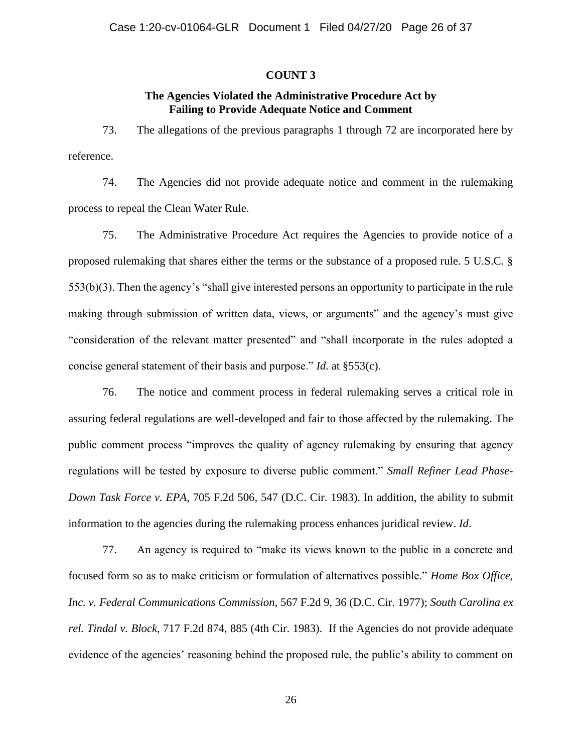#### **COUNT 3**

## **The Agencies Violated the Administrative Procedure Act by Failing to Provide Adequate Notice and Comment**

73. The allegations of the previous paragraphs 1 through 72 are incorporated here by reference.

74. The Agencies did not provide adequate notice and comment in the rulemaking process to repeal the Clean Water Rule.

75. The Administrative Procedure Act requires the Agencies to provide notice of a proposed rulemaking that shares either the terms or the substance of a proposed rule. 5 U.S.C. § 553(b)(3). Then the agency's "shall give interested persons an opportunity to participate in the rule making through submission of written data, views, or arguments" and the agency's must give "consideration of the relevant matter presented" and "shall incorporate in the rules adopted a concise general statement of their basis and purpose." *Id.* at §553(c).

76. The notice and comment process in federal rulemaking serves a critical role in assuring federal regulations are well-developed and fair to those affected by the rulemaking. The public comment process "improves the quality of agency rulemaking by ensuring that agency regulations will be tested by exposure to diverse public comment." *Small Refiner Lead Phase-Down Task Force v. EPA*, 705 F.2d 506, 547 (D.C. Cir. 1983). In addition, the ability to submit information to the agencies during the rulemaking process enhances juridical review. *Id*.

77. An agency is required to "make its views known to the public in a concrete and focused form so as to make criticism or formulation of alternatives possible." *Home Box Office, Inc. v. Federal Communications Commission*, 567 F.2d 9, 36 (D.C. Cir. 1977); *South Carolina ex rel. Tindal v. Block*, 717 F.2d 874, 885 (4th Cir. 1983). If the Agencies do not provide adequate evidence of the agencies' reasoning behind the proposed rule, the public's ability to comment on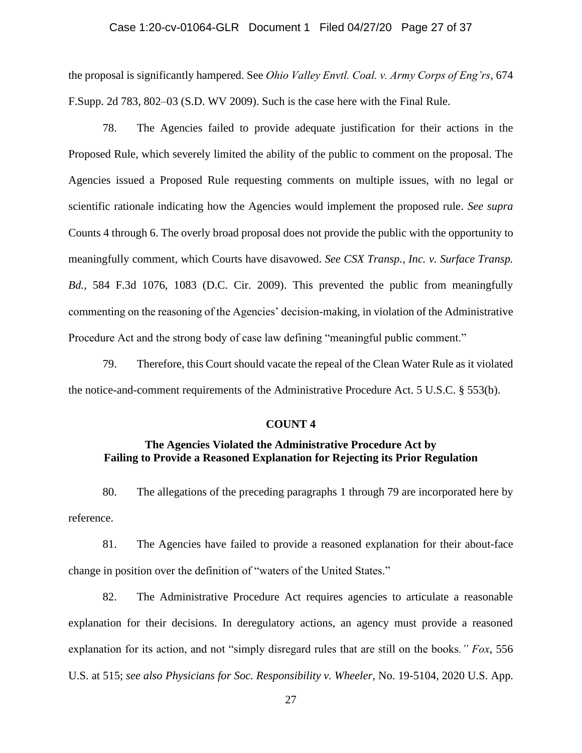## Case 1:20-cv-01064-GLR Document 1 Filed 04/27/20 Page 27 of 37

the proposal is significantly hampered. See *Ohio Valley Envtl. Coal. v. Army Corps of Eng'rs*, 674 F.Supp. 2d 783, 802–03 (S.D. WV 2009). Such is the case here with the Final Rule.

78. The Agencies failed to provide adequate justification for their actions in the Proposed Rule, which severely limited the ability of the public to comment on the proposal. The Agencies issued a Proposed Rule requesting comments on multiple issues, with no legal or scientific rationale indicating how the Agencies would implement the proposed rule. *See supra*  Counts 4 through 6. The overly broad proposal does not provide the public with the opportunity to meaningfully comment, which Courts have disavowed. *See CSX Transp., Inc. v. Surface Transp. Bd.,* 584 F.3d 1076, 1083 (D.C. Cir. 2009). This prevented the public from meaningfully commenting on the reasoning of the Agencies' decision-making, in violation of the Administrative Procedure Act and the strong body of case law defining "meaningful public comment."

79. Therefore, this Court should vacate the repeal of the Clean Water Rule as it violated the notice-and-comment requirements of the Administrative Procedure Act. 5 U.S.C. § 553(b).

## **COUNT 4**

# **The Agencies Violated the Administrative Procedure Act by Failing to Provide a Reasoned Explanation for Rejecting its Prior Regulation**

80. The allegations of the preceding paragraphs 1 through 79 are incorporated here by reference.

81. The Agencies have failed to provide a reasoned explanation for their about-face change in position over the definition of "waters of the United States."

82. The Administrative Procedure Act requires agencies to articulate a reasonable explanation for their decisions. In deregulatory actions, an agency must provide a reasoned explanation for its action, and not "simply disregard rules that are still on the books*." Fox*, 556 U.S. at 515; *see also Physicians for Soc. Responsibility v. Wheeler,* No. 19-5104, 2020 U.S. App.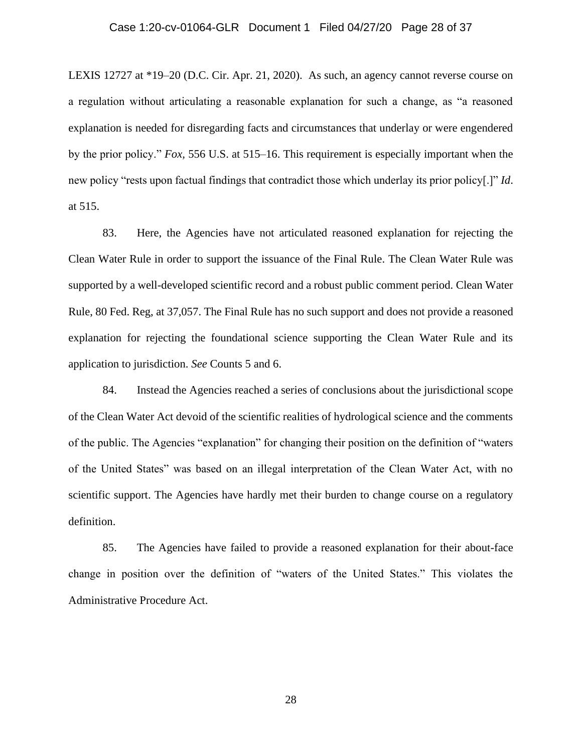#### Case 1:20-cv-01064-GLR Document 1 Filed 04/27/20 Page 28 of 37

LEXIS 12727 at \*19–20 (D.C. Cir. Apr. 21, 2020). As such, an agency cannot reverse course on a regulation without articulating a reasonable explanation for such a change, as "a reasoned explanation is needed for disregarding facts and circumstances that underlay or were engendered by the prior policy." *Fox,* 556 U.S. at 515–16. This requirement is especially important when the new policy "rests upon factual findings that contradict those which underlay its prior policy[.]" *Id*. at 515.

83. Here, the Agencies have not articulated reasoned explanation for rejecting the Clean Water Rule in order to support the issuance of the Final Rule. The Clean Water Rule was supported by a well-developed scientific record and a robust public comment period. Clean Water Rule, 80 Fed. Reg, at 37,057. The Final Rule has no such support and does not provide a reasoned explanation for rejecting the foundational science supporting the Clean Water Rule and its application to jurisdiction. *See* Counts 5 and 6.

84. Instead the Agencies reached a series of conclusions about the jurisdictional scope of the Clean Water Act devoid of the scientific realities of hydrological science and the comments of the public. The Agencies "explanation" for changing their position on the definition of "waters of the United States" was based on an illegal interpretation of the Clean Water Act, with no scientific support. The Agencies have hardly met their burden to change course on a regulatory definition.

85. The Agencies have failed to provide a reasoned explanation for their about-face change in position over the definition of "waters of the United States." This violates the Administrative Procedure Act.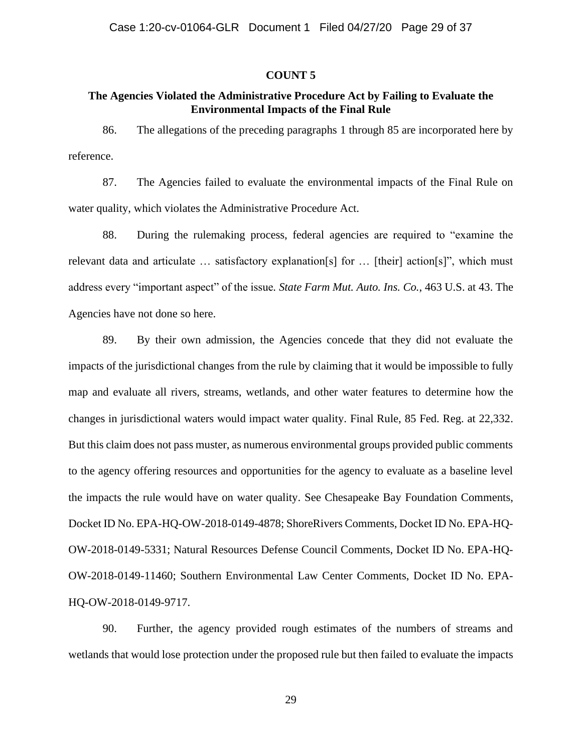#### **COUNT 5**

## **The Agencies Violated the Administrative Procedure Act by Failing to Evaluate the Environmental Impacts of the Final Rule**

86. The allegations of the preceding paragraphs 1 through 85 are incorporated here by reference.

87. The Agencies failed to evaluate the environmental impacts of the Final Rule on water quality, which violates the Administrative Procedure Act.

88. During the rulemaking process, federal agencies are required to "examine the relevant data and articulate … satisfactory explanation[s] for … [their] action[s]", which must address every "important aspect" of the issue*. State Farm Mut. Auto. Ins. Co.*, 463 U.S. at 43. The Agencies have not done so here.

89. By their own admission, the Agencies concede that they did not evaluate the impacts of the jurisdictional changes from the rule by claiming that it would be impossible to fully map and evaluate all rivers, streams, wetlands, and other water features to determine how the changes in jurisdictional waters would impact water quality. Final Rule, 85 Fed. Reg. at 22,332. But this claim does not pass muster, as numerous environmental groups provided public comments to the agency offering resources and opportunities for the agency to evaluate as a baseline level the impacts the rule would have on water quality. See Chesapeake Bay Foundation Comments, Docket ID No. EPA-HQ-OW-2018-0149-4878; ShoreRivers Comments, Docket ID No. EPA-HQ-OW-2018-0149-5331; Natural Resources Defense Council Comments, Docket ID No. EPA-HQ-OW-2018-0149-11460; Southern Environmental Law Center Comments, Docket ID No. EPA-HQ-OW-2018-0149-9717.

90. Further, the agency provided rough estimates of the numbers of streams and wetlands that would lose protection under the proposed rule but then failed to evaluate the impacts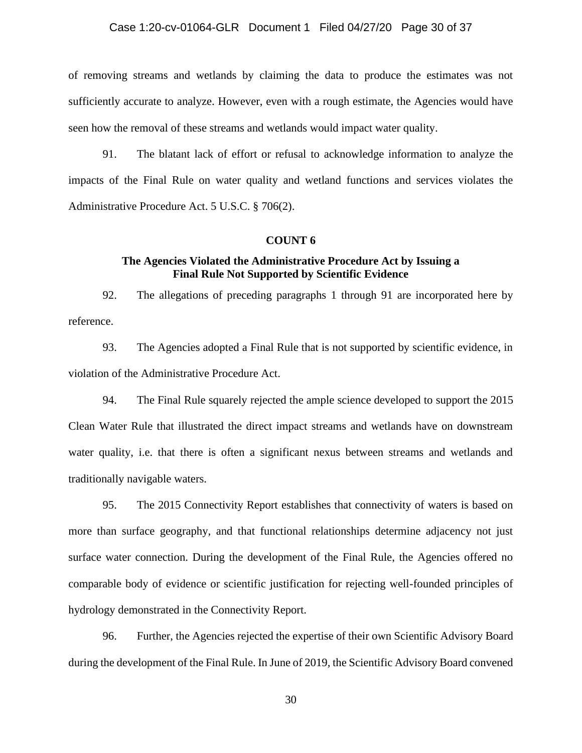#### Case 1:20-cv-01064-GLR Document 1 Filed 04/27/20 Page 30 of 37

of removing streams and wetlands by claiming the data to produce the estimates was not sufficiently accurate to analyze. However, even with a rough estimate, the Agencies would have seen how the removal of these streams and wetlands would impact water quality.

91. The blatant lack of effort or refusal to acknowledge information to analyze the impacts of the Final Rule on water quality and wetland functions and services violates the Administrative Procedure Act. 5 U.S.C. § 706(2).

## **COUNT 6**

## **The Agencies Violated the Administrative Procedure Act by Issuing a Final Rule Not Supported by Scientific Evidence**

92. The allegations of preceding paragraphs 1 through 91 are incorporated here by reference.

93. The Agencies adopted a Final Rule that is not supported by scientific evidence, in violation of the Administrative Procedure Act.

94. The Final Rule squarely rejected the ample science developed to support the 2015 Clean Water Rule that illustrated the direct impact streams and wetlands have on downstream water quality, i.e. that there is often a significant nexus between streams and wetlands and traditionally navigable waters.

95. The 2015 Connectivity Report establishes that connectivity of waters is based on more than surface geography, and that functional relationships determine adjacency not just surface water connection. During the development of the Final Rule, the Agencies offered no comparable body of evidence or scientific justification for rejecting well-founded principles of hydrology demonstrated in the Connectivity Report.

96. Further, the Agencies rejected the expertise of their own Scientific Advisory Board during the development of the Final Rule. In June of 2019, the Scientific Advisory Board convened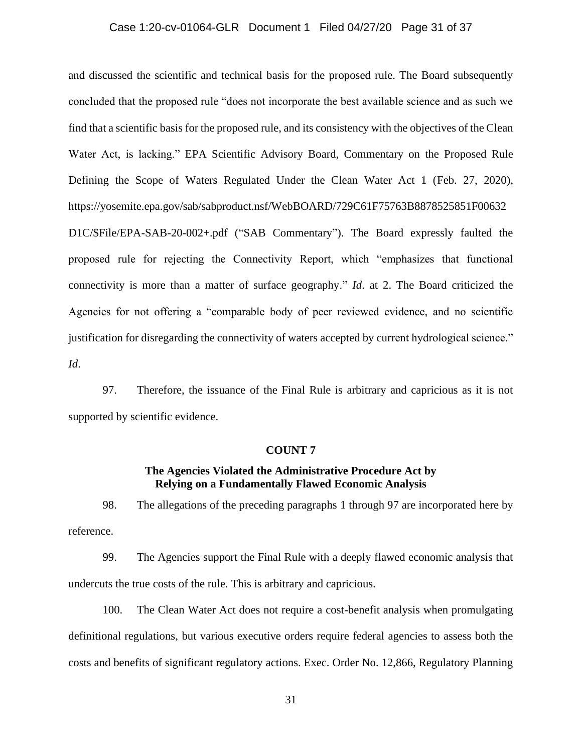#### Case 1:20-cv-01064-GLR Document 1 Filed 04/27/20 Page 31 of 37

and discussed the scientific and technical basis for the proposed rule. The Board subsequently concluded that the proposed rule "does not incorporate the best available science and as such we find that a scientific basis for the proposed rule, and its consistency with the objectives of the Clean Water Act, is lacking." EPA Scientific Advisory Board, Commentary on the Proposed Rule Defining the Scope of Waters Regulated Under the Clean Water Act 1 (Feb. 27, 2020), https://yosemite.epa.gov/sab/sabproduct.nsf/WebBOARD/729C61F75763B8878525851F00632 D1C/\$File/EPA-SAB-20-002+.pdf ("SAB Commentary"). The Board expressly faulted the proposed rule for rejecting the Connectivity Report, which "emphasizes that functional connectivity is more than a matter of surface geography." *Id*. at 2. The Board criticized the Agencies for not offering a "comparable body of peer reviewed evidence, and no scientific justification for disregarding the connectivity of waters accepted by current hydrological science." *Id*.

97. Therefore, the issuance of the Final Rule is arbitrary and capricious as it is not supported by scientific evidence.

#### **COUNT 7**

## **The Agencies Violated the Administrative Procedure Act by Relying on a Fundamentally Flawed Economic Analysis**

98. The allegations of the preceding paragraphs 1 through 97 are incorporated here by reference.

99. The Agencies support the Final Rule with a deeply flawed economic analysis that undercuts the true costs of the rule. This is arbitrary and capricious.

100. The Clean Water Act does not require a cost-benefit analysis when promulgating definitional regulations, but various executive orders require federal agencies to assess both the costs and benefits of significant regulatory actions. Exec. Order No. 12,866, Regulatory Planning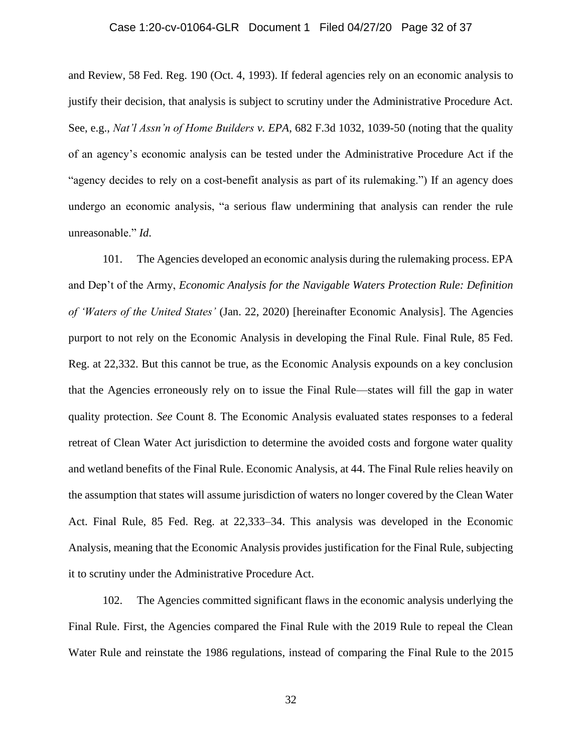#### Case 1:20-cv-01064-GLR Document 1 Filed 04/27/20 Page 32 of 37

and Review, 58 Fed. Reg. 190 (Oct. 4, 1993). If federal agencies rely on an economic analysis to justify their decision, that analysis is subject to scrutiny under the Administrative Procedure Act. See, e.g., *Nat'l Assn'n of Home Builders v. EPA*, 682 F.3d 1032, 1039-50 (noting that the quality of an agency's economic analysis can be tested under the Administrative Procedure Act if the "agency decides to rely on a cost-benefit analysis as part of its rulemaking.") If an agency does undergo an economic analysis, "a serious flaw undermining that analysis can render the rule unreasonable." *Id*.

101. The Agencies developed an economic analysis during the rulemaking process. EPA and Dep't of the Army, *Economic Analysis for the Navigable Waters Protection Rule: Definition of 'Waters of the United States'* (Jan. 22, 2020) [hereinafter Economic Analysis]. The Agencies purport to not rely on the Economic Analysis in developing the Final Rule. Final Rule, 85 Fed. Reg. at 22,332. But this cannot be true, as the Economic Analysis expounds on a key conclusion that the Agencies erroneously rely on to issue the Final Rule—states will fill the gap in water quality protection. *See* Count 8. The Economic Analysis evaluated states responses to a federal retreat of Clean Water Act jurisdiction to determine the avoided costs and forgone water quality and wetland benefits of the Final Rule. Economic Analysis, at 44. The Final Rule relies heavily on the assumption that states will assume jurisdiction of waters no longer covered by the Clean Water Act. Final Rule, 85 Fed. Reg. at 22,333–34. This analysis was developed in the Economic Analysis, meaning that the Economic Analysis provides justification for the Final Rule, subjecting it to scrutiny under the Administrative Procedure Act.

102. The Agencies committed significant flaws in the economic analysis underlying the Final Rule. First, the Agencies compared the Final Rule with the 2019 Rule to repeal the Clean Water Rule and reinstate the 1986 regulations, instead of comparing the Final Rule to the 2015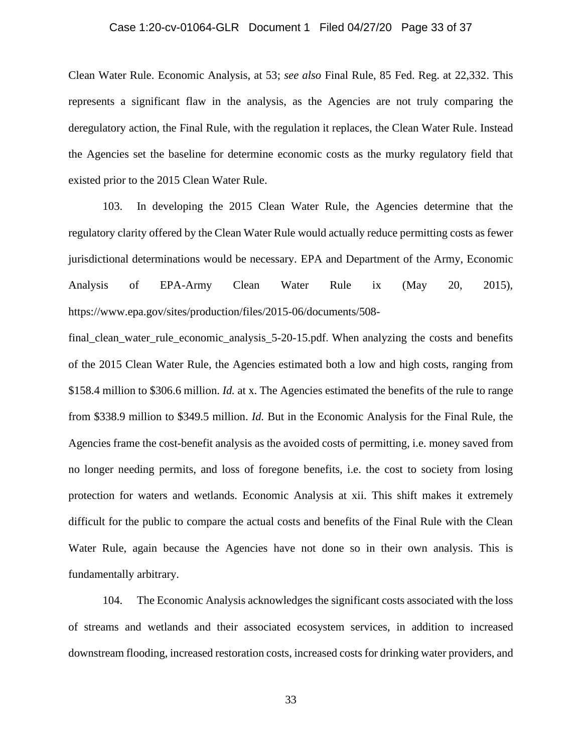#### Case 1:20-cv-01064-GLR Document 1 Filed 04/27/20 Page 33 of 37

Clean Water Rule. Economic Analysis, at 53; *see also* Final Rule, 85 Fed. Reg. at 22,332. This represents a significant flaw in the analysis, as the Agencies are not truly comparing the deregulatory action, the Final Rule, with the regulation it replaces, the Clean Water Rule. Instead the Agencies set the baseline for determine economic costs as the murky regulatory field that existed prior to the 2015 Clean Water Rule.

103. In developing the 2015 Clean Water Rule, the Agencies determine that the regulatory clarity offered by the Clean Water Rule would actually reduce permitting costs as fewer jurisdictional determinations would be necessary. EPA and Department of the Army, Economic Analysis of EPA-Army Clean Water Rule ix (May 20, 2015), [https://www.epa.gov/sites/production/files/2015-06/documents/508-](https://www.epa.gov/sites/production/files/2015-06/documents/508-final_clean_water_rule_economic_analysis_5-20-15.pdf)

[final\\_clean\\_water\\_rule\\_economic\\_analysis\\_5-20-15.pdf](https://www.epa.gov/sites/production/files/2015-06/documents/508-final_clean_water_rule_economic_analysis_5-20-15.pdf). When analyzing the costs and benefits of the 2015 Clean Water Rule, the Agencies estimated both a low and high costs, ranging from \$158.4 million to \$306.6 million. *Id.* at x. The Agencies estimated the benefits of the rule to range from \$338.9 million to \$349.5 million. *Id.* But in the Economic Analysis for the Final Rule, the Agencies frame the cost-benefit analysis as the avoided costs of permitting, i.e. money saved from no longer needing permits, and loss of foregone benefits, i.e. the cost to society from losing protection for waters and wetlands. Economic Analysis at xii. This shift makes it extremely difficult for the public to compare the actual costs and benefits of the Final Rule with the Clean Water Rule, again because the Agencies have not done so in their own analysis. This is fundamentally arbitrary.

104. The Economic Analysis acknowledges the significant costs associated with the loss of streams and wetlands and their associated ecosystem services, in addition to increased downstream flooding, increased restoration costs, increased costs for drinking water providers, and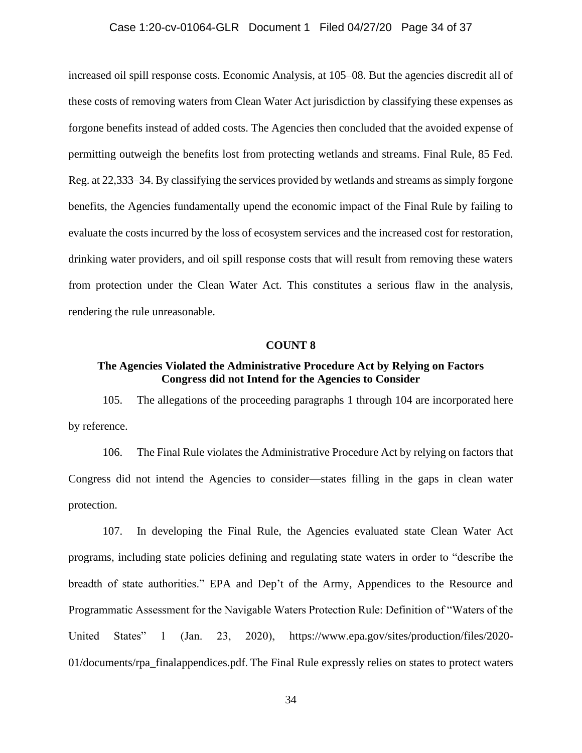#### Case 1:20-cv-01064-GLR Document 1 Filed 04/27/20 Page 34 of 37

increased oil spill response costs. Economic Analysis, at 105–08. But the agencies discredit all of these costs of removing waters from Clean Water Act jurisdiction by classifying these expenses as forgone benefits instead of added costs. The Agencies then concluded that the avoided expense of permitting outweigh the benefits lost from protecting wetlands and streams. Final Rule, 85 Fed. Reg. at 22,333–34. By classifying the services provided by wetlands and streams as simply forgone benefits, the Agencies fundamentally upend the economic impact of the Final Rule by failing to evaluate the costs incurred by the loss of ecosystem services and the increased cost for restoration, drinking water providers, and oil spill response costs that will result from removing these waters from protection under the Clean Water Act. This constitutes a serious flaw in the analysis, rendering the rule unreasonable.

### **COUNT 8**

## **The Agencies Violated the Administrative Procedure Act by Relying on Factors Congress did not Intend for the Agencies to Consider**

105. The allegations of the proceeding paragraphs 1 through 104 are incorporated here by reference.

106. The Final Rule violates the Administrative Procedure Act by relying on factors that Congress did not intend the Agencies to consider—states filling in the gaps in clean water protection.

107. In developing the Final Rule, the Agencies evaluated state Clean Water Act programs, including state policies defining and regulating state waters in order to "describe the breadth of state authorities." EPA and Dep't of the Army, Appendices to the Resource and Programmatic Assessment for the Navigable Waters Protection Rule: Definition of "Waters of the United States" 1 (Jan. 23, 2020), [https://www.epa.gov/sites/production/files/2020-](https://www.epa.gov/sites/production/files/2020-01/documents/rpa_finalappendices.pdf) [01/documents/rpa\\_finalappendices.pdf](https://www.epa.gov/sites/production/files/2020-01/documents/rpa_finalappendices.pdf). The Final Rule expressly relies on states to protect waters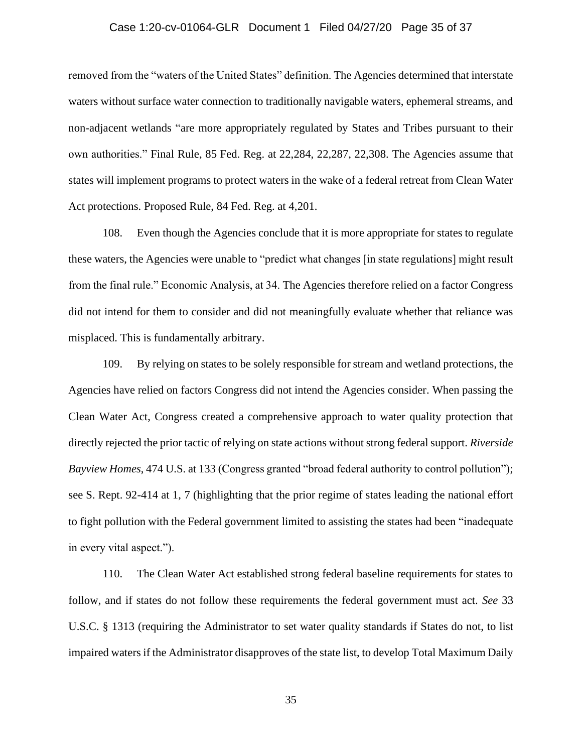## Case 1:20-cv-01064-GLR Document 1 Filed 04/27/20 Page 35 of 37

removed from the "waters of the United States" definition. The Agencies determined that interstate waters without surface water connection to traditionally navigable waters, ephemeral streams, and non-adjacent wetlands "are more appropriately regulated by States and Tribes pursuant to their own authorities." Final Rule, 85 Fed. Reg. at 22,284, 22,287, 22,308. The Agencies assume that states will implement programs to protect waters in the wake of a federal retreat from Clean Water Act protections. Proposed Rule, 84 Fed. Reg. at 4,201.

108. Even though the Agencies conclude that it is more appropriate for states to regulate these waters, the Agencies were unable to "predict what changes [in state regulations] might result from the final rule." Economic Analysis, at 34. The Agencies therefore relied on a factor Congress did not intend for them to consider and did not meaningfully evaluate whether that reliance was misplaced. This is fundamentally arbitrary.

109. By relying on states to be solely responsible for stream and wetland protections, the Agencies have relied on factors Congress did not intend the Agencies consider. When passing the Clean Water Act, Congress created a comprehensive approach to water quality protection that directly rejected the prior tactic of relying on state actions without strong federal support. *Riverside Bayview Homes*, 474 U.S. at 133 (Congress granted "broad federal authority to control pollution"); see S. Rept. 92-414 at 1, 7 (highlighting that the prior regime of states leading the national effort to fight pollution with the Federal government limited to assisting the states had been "inadequate in every vital aspect.").

110. The Clean Water Act established strong federal baseline requirements for states to follow, and if states do not follow these requirements the federal government must act. *See* 33 U.S.C. § 1313 (requiring the Administrator to set water quality standards if States do not, to list impaired waters if the Administrator disapproves of the state list, to develop Total Maximum Daily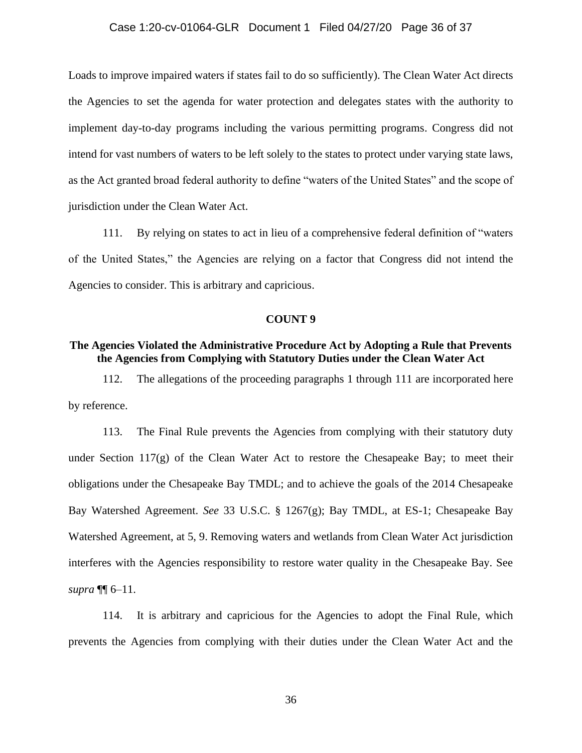#### Case 1:20-cv-01064-GLR Document 1 Filed 04/27/20 Page 36 of 37

Loads to improve impaired waters if states fail to do so sufficiently). The Clean Water Act directs the Agencies to set the agenda for water protection and delegates states with the authority to implement day-to-day programs including the various permitting programs. Congress did not intend for vast numbers of waters to be left solely to the states to protect under varying state laws, as the Act granted broad federal authority to define "waters of the United States" and the scope of jurisdiction under the Clean Water Act.

111. By relying on states to act in lieu of a comprehensive federal definition of "waters of the United States," the Agencies are relying on a factor that Congress did not intend the Agencies to consider. This is arbitrary and capricious.

## **COUNT 9**

## **The Agencies Violated the Administrative Procedure Act by Adopting a Rule that Prevents the Agencies from Complying with Statutory Duties under the Clean Water Act**

112. The allegations of the proceeding paragraphs 1 through 111 are incorporated here by reference.

113. The Final Rule prevents the Agencies from complying with their statutory duty under Section 117(g) of the Clean Water Act to restore the Chesapeake Bay; to meet their obligations under the Chesapeake Bay TMDL; and to achieve the goals of the 2014 Chesapeake Bay Watershed Agreement. *See* 33 U.S.C. § 1267(g); Bay TMDL, at ES-1; Chesapeake Bay Watershed Agreement, at 5, 9. Removing waters and wetlands from Clean Water Act jurisdiction interferes with the Agencies responsibility to restore water quality in the Chesapeake Bay. See *supra* ¶¶ 6–11.

114. It is arbitrary and capricious for the Agencies to adopt the Final Rule, which prevents the Agencies from complying with their duties under the Clean Water Act and the